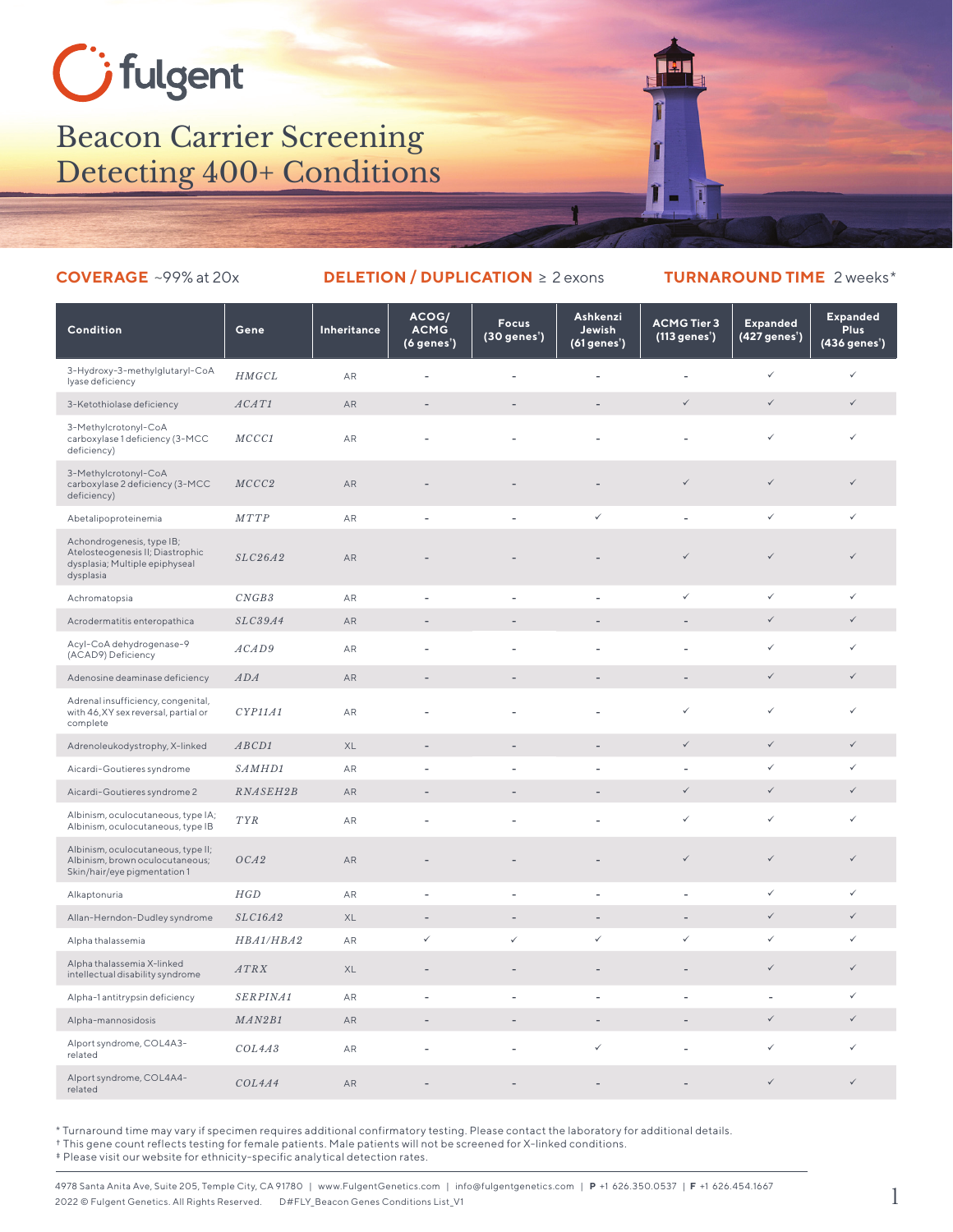## Gifulgent

## Beacon Carrier Screening Detecting 400+ Conditions

## **COVERAGE** ~99% at 20x **DELETION / DUPLICATION** ≥ 2 exons **TURNAROUND TIME** 2 weeks\*

| Condition                                                                                                    | Gene        | Inheritance   | ACOG/<br><b>ACMG</b><br>$(6$ genes') | <b>Focus</b><br>(30 genes <sup>*</sup> ) | Ashkenzi<br>Jewish<br>$(61$ genes') | <b>ACMG Tier 3</b><br>(113 genes') | <b>Expanded</b><br>(427 genes') | <b>Expanded</b><br><b>Plus</b><br>(436 genes <sup>*</sup> ) |
|--------------------------------------------------------------------------------------------------------------|-------------|---------------|--------------------------------------|------------------------------------------|-------------------------------------|------------------------------------|---------------------------------|-------------------------------------------------------------|
| 3-Hydroxy-3-methylglutaryl-CoA<br>lyase deficiency                                                           | HMGCL       | AR            | $\overline{\phantom{a}}$             | $\overline{\phantom{a}}$                 | $\overline{\phantom{a}}$            | $\overline{\phantom{a}}$           | ✓                               | ✓                                                           |
| 3-Ketothiolase deficiency                                                                                    | ACAT1       | AR            |                                      |                                          | $\overline{a}$                      | ✓                                  | $\checkmark$                    | $\checkmark$                                                |
| 3-Methylcrotonyl-CoA<br>carboxylase 1 deficiency (3-MCC<br>deficiency)                                       | MCCC1       | AR            |                                      |                                          |                                     |                                    | ✓                               | $\checkmark$                                                |
| 3-Methylcrotonyl-CoA<br>carboxylase 2 deficiency (3-MCC<br>deficiency)                                       | MCCC2       | AR            |                                      |                                          | $\overline{\phantom{a}}$            | $\checkmark$                       | $\checkmark$                    | $\checkmark$                                                |
| Abetalipoproteinemia                                                                                         | <b>MTTP</b> | AR            |                                      |                                          | $\checkmark$                        | L,                                 | $\checkmark$                    | $\checkmark$                                                |
| Achondrogenesis, type IB;<br>Atelosteogenesis II; Diastrophic<br>dysplasia; Multiple epiphyseal<br>dysplasia | SLC26A2     | AR            |                                      |                                          |                                     | ✓                                  | $\checkmark$                    | $\checkmark$                                                |
| Achromatopsia                                                                                                | CNGB3       | AR            |                                      |                                          | ÷.                                  | ✓                                  | $\checkmark$                    | $\checkmark$                                                |
| Acrodermatitis enteropathica                                                                                 | SLC39A4     | AR            |                                      |                                          |                                     | $\overline{a}$                     | $\checkmark$                    | $\checkmark$                                                |
| Acyl-CoA dehydrogenase-9<br>(ACAD9) Deficiency                                                               | ACAD9       | AR            |                                      |                                          |                                     |                                    | ✓                               | $\checkmark$                                                |
| Adenosine deaminase deficiency                                                                               | ADA         | <b>AR</b>     |                                      |                                          |                                     | $\overline{a}$                     | $\checkmark$                    | $\checkmark$                                                |
| Adrenal insufficiency, congenital,<br>with 46, XY sex reversal, partial or<br>complete                       | CYP11A1     | AR            |                                      |                                          | ÷.                                  | ✓                                  | ✓                               | $\checkmark$                                                |
| Adrenoleukodystrophy, X-linked                                                                               | ABCD1       | $\mathsf{XL}$ | $\overline{a}$                       | $\overline{a}$                           | $\overline{a}$                      | $\checkmark$                       | $\checkmark$                    | $\checkmark$                                                |
| Aicardi-Goutieres syndrome                                                                                   | SAMHD1      | AR            |                                      |                                          |                                     |                                    | $\checkmark$                    | ✓                                                           |
| Aicardi-Goutieres syndrome 2                                                                                 | RNASEH2B    | AR            | $\overline{a}$                       |                                          | $\overline{\phantom{a}}$            | $\checkmark$                       | $\checkmark$                    | $\checkmark$                                                |
| Albinism, oculocutaneous, type IA;<br>Albinism, oculocutaneous, type IB                                      | <b>TYR</b>  | AR            |                                      |                                          |                                     | ✓                                  | ✓                               | ✓                                                           |
| Albinism, oculocutaneous, type II;<br>Albinism, brown oculocutaneous;<br>Skin/hair/eye pigmentation 1        | OCA2        | AR            |                                      |                                          | $\overline{\phantom{a}}$            | $\checkmark$                       | $\checkmark$                    | $\checkmark$                                                |
| Alkaptonuria                                                                                                 | HGD         | AR            | $\overline{\phantom{a}}$             | $\overline{\phantom{a}}$                 | $\overline{\phantom{a}}$            | $\overline{a}$                     | ✓                               | $\checkmark$                                                |
| Allan-Herndon-Dudley syndrome                                                                                | SLC16A2     | XL            | $\overline{a}$                       | $\overline{a}$                           | $\overline{a}$                      | $\overline{a}$                     | $\checkmark$                    | $\checkmark$                                                |
| Alpha thalassemia                                                                                            | HBA1/HBA2   | AR            | ✓                                    | $\checkmark$                             | $\checkmark$                        | ✓                                  | ✓                               | ✓                                                           |
| Alpha thalassemia X-linked<br>intellectual disability syndrome                                               | ATRX        | XL            |                                      |                                          | $\overline{\phantom{a}}$            |                                    | $\checkmark$                    | $\checkmark$                                                |
| Alpha-1 antitrypsin deficiency                                                                               | SERPINA1    | AR            |                                      | ÷                                        | L.                                  |                                    |                                 | $\checkmark$                                                |
| Alpha-mannosidosis                                                                                           | MAN2B1      | AR            | $\overline{\phantom{a}}$             | $\overline{\phantom{a}}$                 | $\overline{\phantom{a}}$            | $\overline{\phantom{0}}$           | $\checkmark$                    | $\checkmark$                                                |
| Alport syndrome, COL4A3-<br>related                                                                          | COL4A3      | AR            | $\overline{a}$                       | $\sim$                                   | $\checkmark$                        | L,                                 | $\checkmark$                    | $\checkmark$                                                |
| Alport syndrome, COL4A4-<br>related                                                                          | COL4A4      | AR            |                                      |                                          |                                     |                                    | $\checkmark$                    | $\checkmark$                                                |

\* Turnaround time may vary if specimen requires additional confirmatory testing. Please contact the laboratory for additional details.

† This gene count reflects testing for female patients. Male patients will not be screened for X-linked conditions.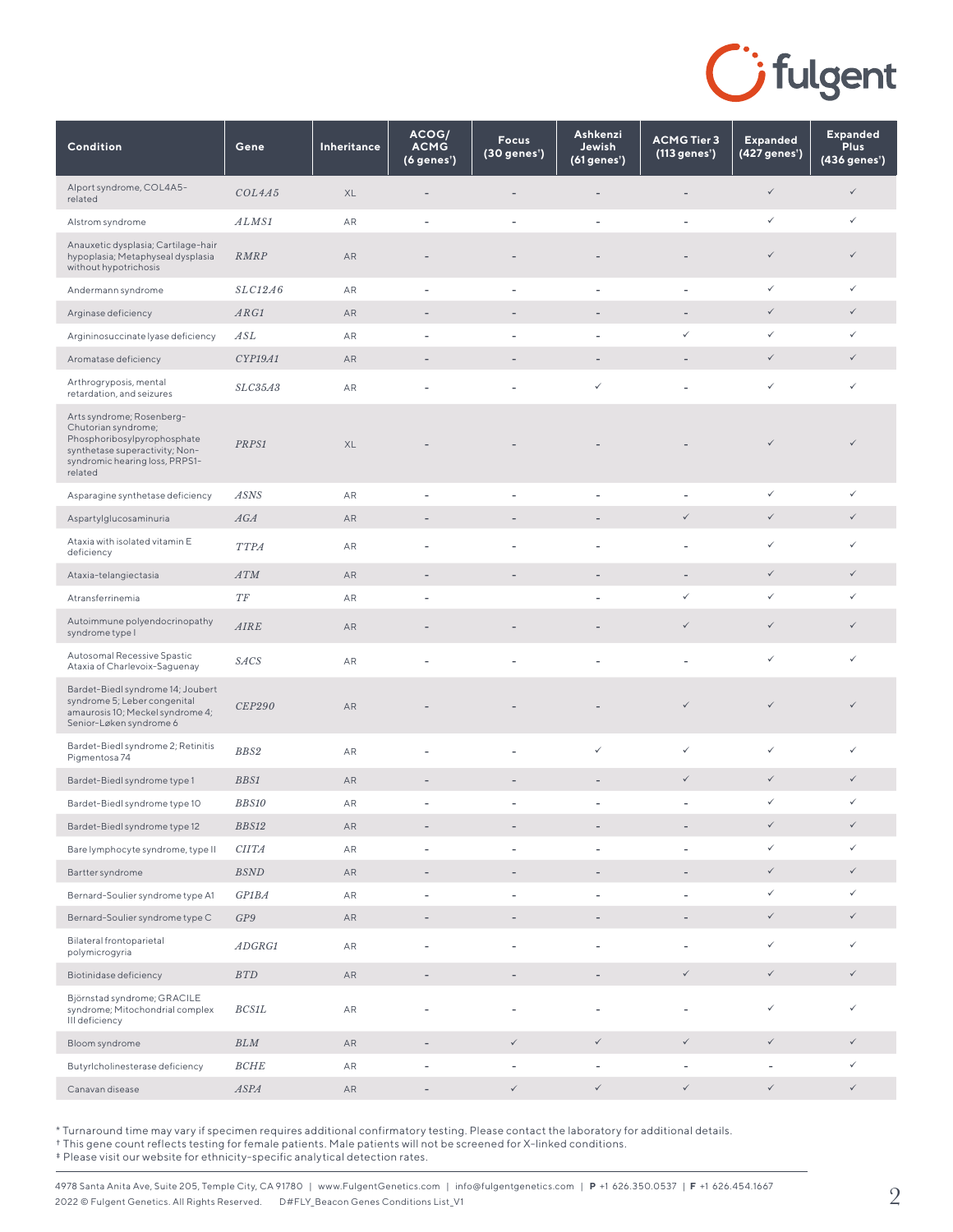

| Condition                                                                                                                                                      | Gene                | Inheritance | ACOG/<br><b>ACMG</b><br>(6 genes') | <b>Focus</b><br>(30 genes <sup>*</sup> ) | Ashkenzi<br>Jewish<br>(61 genes') | <b>ACMG Tier 3</b><br>(113 genes') | <b>Expanded</b><br>(427 genes <sup>*</sup> ) | <b>Expanded</b><br><b>Plus</b><br>(436 genes <sup>*</sup> ) |
|----------------------------------------------------------------------------------------------------------------------------------------------------------------|---------------------|-------------|------------------------------------|------------------------------------------|-----------------------------------|------------------------------------|----------------------------------------------|-------------------------------------------------------------|
| Alport syndrome, COL4A5-<br>related                                                                                                                            | COL4A5              | XL          |                                    |                                          |                                   |                                    | $\checkmark$                                 | $\checkmark$                                                |
| Alstrom syndrome                                                                                                                                               | ALMS1               | AR          | $\overline{a}$                     | L,                                       | $\overline{a}$                    |                                    | $\checkmark$                                 | $\checkmark$                                                |
| Anauxetic dysplasia; Cartilage-hair<br>hypoplasia; Metaphyseal dysplasia<br>without hypotrichosis                                                              | <b>RMRP</b>         | AR          |                                    |                                          |                                   |                                    | $\checkmark$                                 | $\checkmark$                                                |
| Andermann syndrome                                                                                                                                             | SLC12A6             | AR          | ÷                                  | $\overline{\phantom{a}}$                 | ÷                                 |                                    | $\checkmark$                                 | $\checkmark$                                                |
| Arginase deficiency                                                                                                                                            | ARG1                | AR          | $\overline{a}$                     |                                          |                                   | $\overline{\phantom{a}}$           | $\checkmark$                                 | $\checkmark$                                                |
| Argininosuccinate lyase deficiency                                                                                                                             | ASL                 | AR          |                                    | Ĭ.                                       | $\overline{a}$                    | ✓                                  | $\checkmark$                                 | $\checkmark$                                                |
| Aromatase deficiency                                                                                                                                           | CYP19A1             | AR          | $\overline{\phantom{m}}$           | $\overline{a}$                           | $\overline{\phantom{0}}$          |                                    | $\checkmark$                                 | $\checkmark$                                                |
| Arthrogryposis, mental<br>retardation, and seizures                                                                                                            | SLC35A3             | AR          |                                    | L,                                       | ✓                                 |                                    | $\checkmark$                                 | $\checkmark$                                                |
| Arts syndrome; Rosenberg-<br>Chutorian syndrome;<br>Phosphoribosylpyrophosphate<br>synthetase superactivity; Non-<br>syndromic hearing loss, PRPS1-<br>related | PRPS1               | XL          |                                    |                                          |                                   |                                    | $\checkmark$                                 | $\checkmark$                                                |
| Asparagine synthetase deficiency                                                                                                                               | <b>ASNS</b>         | AR          |                                    | ÷                                        |                                   |                                    | $\checkmark$                                 | $\checkmark$                                                |
| Aspartylglucosaminuria                                                                                                                                         | AGA                 | AR          | $\overline{\phantom{m}}$           |                                          |                                   | $\checkmark$                       | $\checkmark$                                 | $\checkmark$                                                |
| Ataxia with isolated vitamin E<br>deficiency                                                                                                                   | <b>TTPA</b>         | AR          | $\overline{\phantom{a}}$           | ÷,                                       | ÷,                                |                                    | $\checkmark$                                 | $\checkmark$                                                |
| Ataxia-telangiectasia                                                                                                                                          | <b>ATM</b>          | AR          | $\overline{\phantom{m}}$           |                                          | -                                 |                                    | $\checkmark$                                 | $\checkmark$                                                |
| Atransferrinemia                                                                                                                                               | $T\hspace{-0.1cm}F$ | AR          | ٠                                  |                                          |                                   | ✓                                  | $\checkmark$                                 | ✓                                                           |
| Autoimmune polyendocrinopathy<br>syndrome type I                                                                                                               | <b>AIRE</b>         | AR          |                                    |                                          |                                   | $\checkmark$                       | $\checkmark$                                 | $\checkmark$                                                |
| Autosomal Recessive Spastic<br>Ataxia of Charlevoix-Saguenay                                                                                                   | <b>SACS</b>         | AR          |                                    |                                          |                                   |                                    | $\checkmark$                                 | $\checkmark$                                                |
| Bardet-Biedl syndrome 14; Joubert<br>syndrome 5; Leber congenital<br>amaurosis 10; Meckel syndrome 4;<br>Senior-Løken syndrome 6                               | <i>CEP290</i>       | AR          |                                    |                                          |                                   | $\checkmark$                       | $\checkmark$                                 | $\checkmark$                                                |
| Bardet-Biedl syndrome 2; Retinitis<br>Pigmentosa 74                                                                                                            | BBS2                | AR          | $\overline{a}$                     | $\overline{\phantom{a}}$                 | $\checkmark$                      | ✓                                  | $\checkmark$                                 | $\checkmark$                                                |
| Bardet-Biedl syndrome type 1                                                                                                                                   | <b>BBS1</b>         | AR          | ٠                                  | -                                        |                                   | $\checkmark$                       | $\checkmark$                                 | $\checkmark$                                                |
| Bardet-Biedl syndrome type 10                                                                                                                                  | <b>BBS10</b>        | AR          |                                    |                                          |                                   |                                    | $\checkmark$                                 | ✓                                                           |
| Bardet-Biedl syndrome type 12                                                                                                                                  | BBS12               | ${\sf AR}$  |                                    |                                          |                                   |                                    | $\checkmark$                                 | $\checkmark$                                                |
| Bare lymphocyte syndrome, type II                                                                                                                              | CITA                | ${\sf AR}$  | $\overline{\phantom{a}}$           | $\overline{\phantom{a}}$                 | $\overline{\phantom{a}}$          | $\overline{\phantom{a}}$           | $\checkmark$                                 | $\checkmark$                                                |
| Bartter syndrome                                                                                                                                               | <b>BSND</b>         | AR          | $\overline{\phantom{a}}$           | $\overline{\phantom{a}}$                 | $\overline{\phantom{a}}$          | $\overline{\phantom{a}}$           | $\checkmark$                                 | $\checkmark$                                                |
| Bernard-Soulier syndrome type A1                                                                                                                               | GPIBA               | AR          | $\qquad \qquad -$                  | $\overline{\phantom{0}}$                 | $\overline{\phantom{0}}$          | $\overline{\phantom{a}}$           | $\checkmark$                                 | $\checkmark$                                                |
| Bernard-Soulier syndrome type C                                                                                                                                | GP9                 | AR          | $\overline{\phantom{a}}$           | $\overline{\phantom{a}}$                 | $\overline{\phantom{a}}$          | $\overline{\phantom{a}}$           | $\checkmark$                                 | $\checkmark$                                                |
| Bilateral frontoparietal<br>polymicrogyria                                                                                                                     | ADGRG1              | AR          | $\overline{a}$                     | $\overline{a}$                           | $\overline{\phantom{a}}$          | $\overline{\phantom{a}}$           | $\checkmark$                                 | $\checkmark$                                                |
| Biotinidase deficiency                                                                                                                                         | BTD                 | ${\sf AR}$  | $\overline{\phantom{a}}$           | $\qquad \qquad -$                        | $\overline{\phantom{a}}$          | $\checkmark$                       | $\checkmark$                                 | $\checkmark$                                                |
| Björnstad syndrome; GRACILE<br>syndrome; Mitochondrial complex<br>III deficiency                                                                               | $BCS1L$             | AR          |                                    | L,                                       | ÷,                                | $\qquad \qquad \blacksquare$       | $\checkmark$                                 | $\checkmark$                                                |
| Bloom syndrome                                                                                                                                                 | BLM                 | AR          | $\overline{\phantom{a}}$           | $\checkmark$                             | $\checkmark$                      | $\checkmark$                       | $\checkmark$                                 | $\checkmark$                                                |
| Butyrlcholinesterase deficiency                                                                                                                                | <b>BCHE</b>         | AR          | $\overline{\phantom{m}}$           | $\overline{\phantom{a}}$                 | $\overline{\phantom{a}}$          | $\overline{\phantom{a}}$           | $\overline{\phantom{a}}$                     | $\checkmark$                                                |
| Canavan disease                                                                                                                                                | <b>ASPA</b>         | ${\sf AR}$  | $\overline{\phantom{a}}$           | $\checkmark$                             | $\checkmark$                      | $\checkmark$                       | $\checkmark$                                 | $\checkmark$                                                |

† This gene count reflects testing for female patients. Male patients will not be screened for X-linked conditions.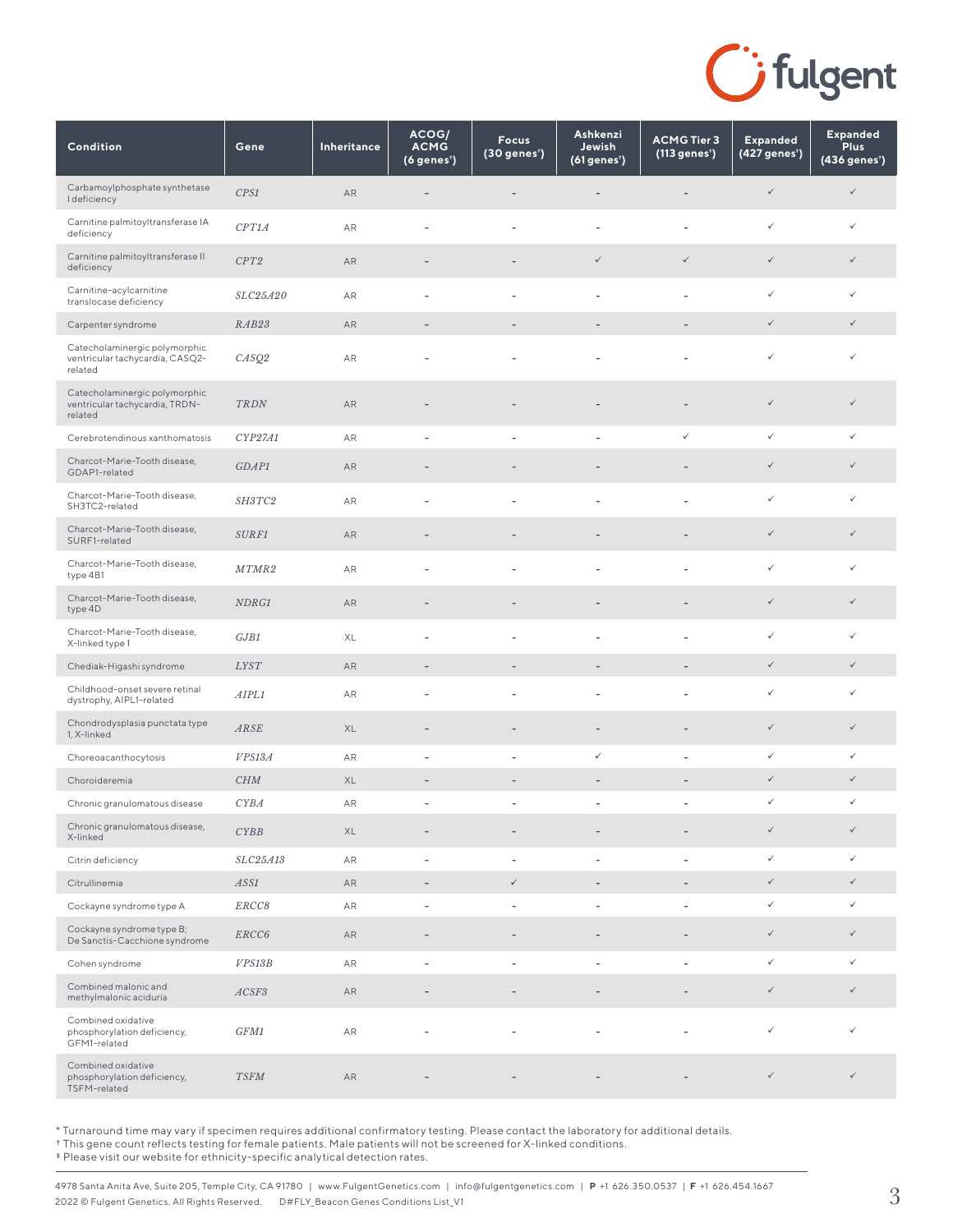

| Condition                                                                   | Gene        | Inheritance | ACOG/<br><b>ACMG</b><br>$(6$ genes') | <b>Focus</b><br>(30 genes') | Ashkenzi<br>Jewish<br>(61 genes') | <b>ACMG Tier 3</b><br>(113 genes') | <b>Expanded</b><br>(427 genes') | <b>Expanded</b><br><b>Plus</b><br>$(436$ genes') |
|-----------------------------------------------------------------------------|-------------|-------------|--------------------------------------|-----------------------------|-----------------------------------|------------------------------------|---------------------------------|--------------------------------------------------|
| Carbamoylphosphate synthetase<br><b>I</b> deficiency                        | CPS1        | AR          | ٠                                    |                             |                                   |                                    | $\checkmark$                    | $\checkmark$                                     |
| Carnitine palmitoyltransferase IA<br>deficiency                             | CPT1A       | AR          | $\overline{\phantom{a}}$             | ÷,                          | $\overline{\phantom{a}}$          | $\overline{\phantom{a}}$           | $\checkmark$                    | $\checkmark$                                     |
| Carnitine palmitoyltransferase II<br>deficiency                             | CPT2        | AR          |                                      |                             | $\checkmark$                      | $\checkmark$                       | $\checkmark$                    | $\checkmark$                                     |
| Carnitine-acylcarnitine<br>translocase deficiency                           | SLC25A20    | AR          |                                      | L,                          |                                   | ٠                                  | $\checkmark$                    | ✓                                                |
| Carpenter syndrome                                                          | RAB23       | AR          | ٠                                    |                             |                                   | $\overline{\phantom{m}}$           | $\checkmark$                    | $\checkmark$                                     |
| Catecholaminergic polymorphic<br>ventricular tachycardia, CASQ2-<br>related | CASQ2       | AR          |                                      |                             |                                   |                                    | $\checkmark$                    | ✓                                                |
| Catecholaminergic polymorphic<br>ventricular tachycardia, TRDN-<br>related  | TRDN        | AR          |                                      |                             |                                   |                                    | $\checkmark$                    | $\checkmark$                                     |
| Cerebrotendinous xanthomatosis                                              | CYP27A1     | AR          | $\overline{\phantom{a}}$             | $\overline{\phantom{a}}$    |                                   | $\checkmark$                       | $\checkmark$                    | ✓                                                |
| Charcot-Marie-Tooth disease,<br>GDAP1-related                               | GDAP1       | AR          |                                      |                             |                                   |                                    | $\checkmark$                    | $\checkmark$                                     |
| Charcot-Marie-Tooth disease,<br>SH3TC2-related                              | SH3TC2      | AR          |                                      | L,                          |                                   |                                    | $\checkmark$                    | ✓                                                |
| Charcot-Marie-Tooth disease,<br>SURF1-related                               | SURF1       | AR          | $\overline{\phantom{m}}$             | -                           | $\qquad \qquad -$                 | $\overline{\phantom{a}}$           | $\checkmark$                    | $\checkmark$                                     |
| Charcot-Marie-Tooth disease,<br>type 4B1                                    | MTMR2       | AR          | ٠                                    | L.                          |                                   | Ĭ.                                 | $\checkmark$                    | ✓                                                |
| Charcot-Marie-Tooth disease,<br>type 4D                                     | NDRG1       | AR          |                                      |                             |                                   |                                    | $\checkmark$                    | $\checkmark$                                     |
| Charcot-Marie-Tooth disease,<br>X-linked type 1                             | GJB1        | XL          | ٠                                    | ÷,                          |                                   | $\overline{a}$                     | $\checkmark$                    | ✓                                                |
| Chediak-Higashi syndrome                                                    | <b>LYST</b> | AR          | $\overline{\phantom{a}}$             | $\qquad \qquad -$           | $\overline{\phantom{a}}$          | $\overline{\phantom{a}}$           | $\checkmark$                    | $\checkmark$                                     |
| Childhood-onset severe retinal<br>dystrophy, AIPL1-related                  | AIPL1       | AR          | $\overline{\phantom{a}}$             | $\overline{a}$              | $\overline{\phantom{a}}$          | $\overline{a}$                     | $\checkmark$                    | ✓                                                |
| Chondrodysplasia punctata type<br>1, X-linked                               | ARSE        | XL          | $\overline{\phantom{m}}$             | $\overline{a}$              |                                   |                                    | $\checkmark$                    | $\checkmark$                                     |
| Choreoacanthocytosis                                                        | VPS13A      | AR          | $\overline{\phantom{a}}$             | $\overline{\phantom{a}}$    | ✓                                 | ٠                                  | $\checkmark$                    | $\checkmark$                                     |
| Choroideremia                                                               | CHM         | XL          | $\overline{\phantom{a}}$             | $\overline{\phantom{m}}$    | $\qquad \qquad -$                 | $\overline{\phantom{m}}$           | $\checkmark$                    | $\checkmark$                                     |
| Chronic granulomatous disease                                               | <b>CYBA</b> | AR          | ٠                                    |                             |                                   | ٠                                  | $\checkmark$                    | ✓                                                |
| Chronic granulomatous disease,<br>X-linked                                  | CYBB        | XL          | ٠                                    |                             |                                   |                                    | $\checkmark$                    | $\checkmark$                                     |
| Citrin deficiency                                                           | SLC25A13    | ${\sf AR}$  | $\overline{\phantom{a}}$             | $\overline{\phantom{a}}$    |                                   | $\overline{\phantom{a}}$           | $\checkmark$                    | $\checkmark$                                     |
| Citrullinemia                                                               | ASS1        | ${\sf AR}$  | $\overline{\phantom{a}}$             | $\checkmark$                |                                   |                                    | $\checkmark$                    | $\checkmark$                                     |
| Cockayne syndrome type A                                                    | ERCC8       | AR          | $\overline{\phantom{a}}$             | $\overline{\phantom{a}}$    | $\overline{\phantom{a}}$          | $\overline{a}$                     | $\checkmark$                    | $\checkmark$                                     |
| Cockayne syndrome type B;<br>De Sanctis-Cacchione syndrome                  | ERCC6       | AR          | $\overline{\phantom{m}}$             | ٠                           |                                   |                                    | $\checkmark$                    | $\checkmark$                                     |
| Cohen syndrome                                                              | VPS13B      | AR          | $\overline{\phantom{a}}$             | $\overline{a}$              | ÷,                                | $\overline{\phantom{a}}$           | $\checkmark$                    | ✓                                                |
| Combined malonic and<br>methylmalonic aciduria                              | ACSF3       | AR          | ٠                                    |                             |                                   |                                    | $\checkmark$                    | $\checkmark$                                     |
| Combined oxidative<br>phosphorylation deficiency,<br>GFM1-related           | GFM1        | AR          | $\overline{a}$                       | L,                          |                                   |                                    | $\checkmark$                    | ✓                                                |
| Combined oxidative<br>phosphorylation deficiency,<br>TSFM-related           | <b>TSFM</b> | AR          |                                      |                             |                                   |                                    | $\checkmark$                    | $\checkmark$                                     |

† This gene count reflects testing for female patients. Male patients will not be screened for X-linked conditions.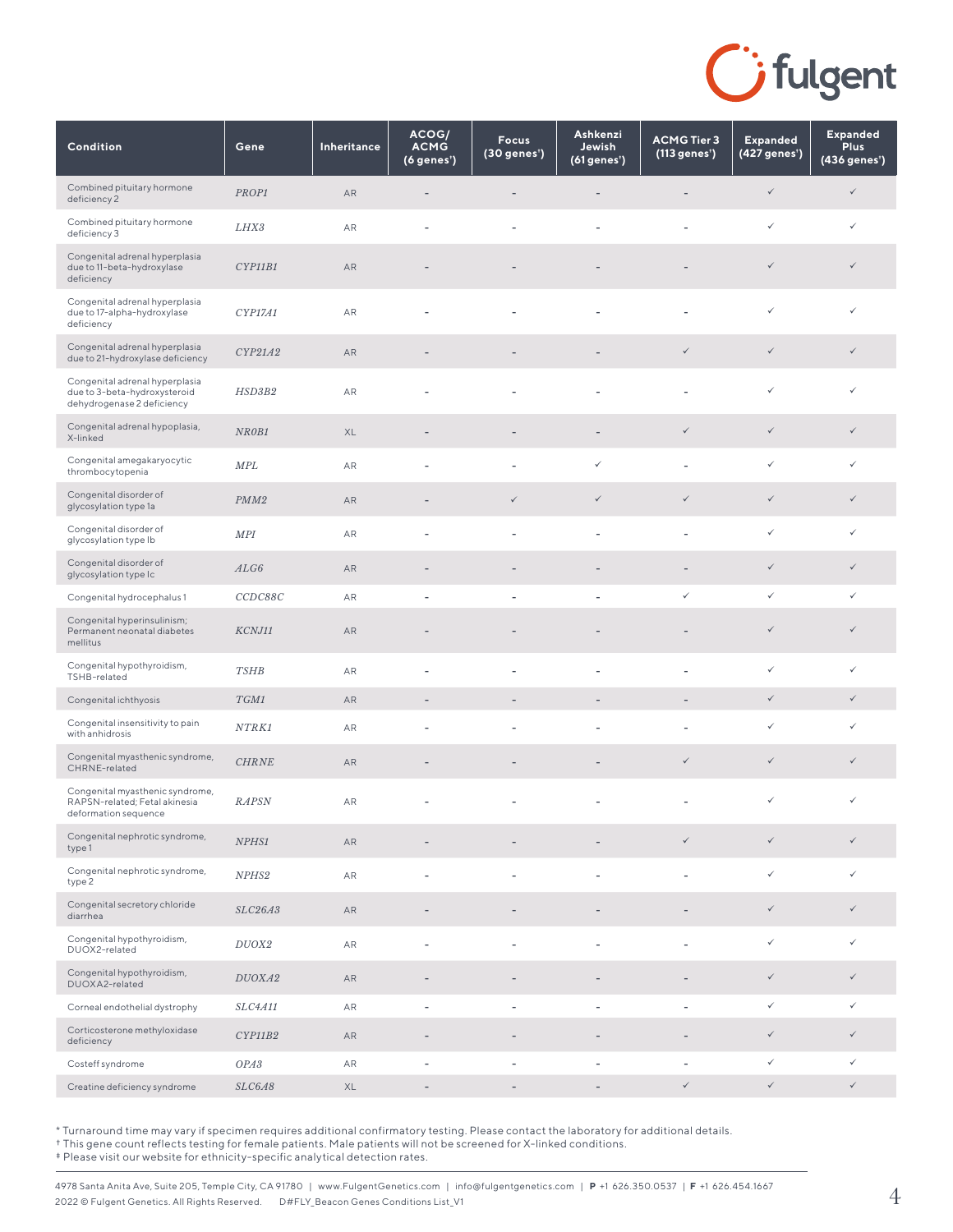

| Condition                                                                                    | Gene             | Inheritance | ACOG/<br><b>ACMG</b><br>(6 genes') | <b>Focus</b><br>(30 genes <sup>*</sup> ) | Ashkenzi<br>Jewish<br>(61 genes') | <b>ACMG Tier 3</b><br>(113 genes') | <b>Expanded</b><br>(427 genes') | <b>Expanded</b><br><b>Plus</b><br>(436 genes') |
|----------------------------------------------------------------------------------------------|------------------|-------------|------------------------------------|------------------------------------------|-----------------------------------|------------------------------------|---------------------------------|------------------------------------------------|
| Combined pituitary hormone<br>deficiency 2                                                   | PROP1            | AR          | $\overline{\phantom{m}}$           |                                          |                                   |                                    | $\checkmark$                    | $\checkmark$                                   |
| Combined pituitary hormone<br>deficiency 3                                                   | LHX3             | AR          | $\overline{\phantom{a}}$           |                                          |                                   | ٠                                  | $\checkmark$                    | ✓                                              |
| Congenital adrenal hyperplasia<br>due to 11-beta-hydroxylase<br>deficiency                   | CYP11B1          | AR          |                                    |                                          |                                   |                                    | $\checkmark$                    | $\checkmark$                                   |
| Congenital adrenal hyperplasia<br>due to 17-alpha-hydroxylase<br>deficiency                  | CYP17A1          | AR          |                                    |                                          |                                   |                                    | $\checkmark$                    | ✓                                              |
| Congenital adrenal hyperplasia<br>due to 21-hydroxylase deficiency                           | CYP21A2          | AR          |                                    |                                          |                                   | $\checkmark$                       | $\checkmark$                    | $\checkmark$                                   |
| Congenital adrenal hyperplasia<br>due to 3-beta-hydroxysteroid<br>dehydrogenase 2 deficiency | HSD3B2           | AR          |                                    |                                          |                                   |                                    | $\checkmark$                    | $\checkmark$                                   |
| Congenital adrenal hypoplasia,<br>X-linked                                                   | NR0B1            | XL          | $\overline{\phantom{m}}$           | $\overline{\phantom{a}}$                 | $\overline{\phantom{a}}$          | $\checkmark$                       | $\checkmark$                    | $\checkmark$                                   |
| Congenital amegakaryocytic<br>thrombocytopenia                                               | <b>MPL</b>       | AR          |                                    |                                          | $\checkmark$                      | ٠                                  | $\checkmark$                    | ✓                                              |
| Congenital disorder of<br>glycosylation type 1a                                              | PMM <sub>2</sub> | AR          |                                    | $\checkmark$                             | $\checkmark$                      | $\checkmark$                       | $\checkmark$                    | $\checkmark$                                   |
| Congenital disorder of<br>glycosylation type lb                                              | MPI              | AR          | $\overline{\phantom{a}}$           | $\overline{\phantom{a}}$                 | ä,                                | ÷,                                 | $\checkmark$                    | $\checkmark$                                   |
| Congenital disorder of<br>glycosylation type Ic                                              | ALG6             | AR          | $\overline{\phantom{a}}$           |                                          |                                   | ٠                                  | $\checkmark$                    | $\checkmark$                                   |
| Congenital hydrocephalus 1                                                                   | CCDC88C          | AR          | $\overline{\phantom{a}}$           |                                          |                                   | $\checkmark$                       | $\checkmark$                    | ✓                                              |
| Congenital hyperinsulinism;<br>Permanent neonatal diabetes<br>mellitus                       | KCNJ11           | AR          |                                    |                                          |                                   |                                    | $\checkmark$                    | $\checkmark$                                   |
| Congenital hypothyroidism,<br>TSHB-related                                                   | <b>TSHB</b>      | AR          | $\overline{\phantom{a}}$           | ÷.                                       |                                   | ٠                                  | $\checkmark$                    | $\checkmark$                                   |
| Congenital ichthyosis                                                                        | TGM1             | AR          | $\overline{\phantom{a}}$           |                                          |                                   | ٠                                  | $\checkmark$                    | $\checkmark$                                   |
| Congenital insensitivity to pain<br>with anhidrosis                                          | NTRK1            | AR          |                                    |                                          |                                   |                                    | $\checkmark$                    | ✓                                              |
| Congenital myasthenic syndrome,<br>CHRNE-related                                             | <b>CHRNE</b>     | AR          |                                    |                                          |                                   | $\checkmark$                       | $\checkmark$                    | $\checkmark$                                   |
| Congenital myasthenic syndrome,<br>RAPSN-related; Fetal akinesia<br>deformation sequence     | <b>RAPSN</b>     | AR          |                                    |                                          |                                   |                                    | $\checkmark$                    | ✓                                              |
| Congenital nephrotic syndrome,<br>type1                                                      | NPHS1            | AR          |                                    |                                          |                                   | $\checkmark$                       | $\checkmark$                    | $\checkmark$                                   |
| Congenital nephrotic syndrome,<br>type 2                                                     | NPHS2            | ${\sf AR}$  | $\overline{\phantom{a}}$           | ٠                                        |                                   | ٠                                  | $\checkmark$                    | ✓                                              |
| Congenital secretory chloride<br>diarrhea                                                    | SLC26A3          | AR          |                                    |                                          |                                   |                                    | $\checkmark$                    | ✓                                              |
| Congenital hypothyroidism,<br>DUOX2-related                                                  | DUOX2            | ${\sf AR}$  | $\overline{\phantom{a}}$           | $\overline{\phantom{a}}$                 | $\overline{\phantom{a}}$          | $\overline{a}$                     | $\checkmark$                    | ✓                                              |
| Congenital hypothyroidism,<br>DUOXA2-related                                                 | DUOXA2           | AR          | $\overline{\phantom{a}}$           | $\overline{\phantom{a}}$                 |                                   | $\qquad \qquad \blacksquare$       | $\checkmark$                    | $\checkmark$                                   |
| Corneal endothelial dystrophy                                                                | SLC4A11          | ${\sf AR}$  | $\overline{\phantom{a}}$           | $\overline{\phantom{a}}$                 |                                   | $\qquad \qquad \blacksquare$       | $\checkmark$                    | ✓                                              |
| Corticosterone methyloxidase<br>deficiency                                                   | CYP11B2          | AR          | $\overline{\phantom{a}}$           |                                          |                                   |                                    | $\checkmark$                    | $\checkmark$                                   |
| Costeff syndrome                                                                             | OPA3             | AR          | ÷,                                 | $\overline{\phantom{a}}$                 |                                   | ٠                                  | $\checkmark$                    | ✓                                              |
| Creatine deficiency syndrome                                                                 | SLC6A8           | XL          |                                    |                                          |                                   | $\checkmark$                       | $\checkmark$                    | $\checkmark$                                   |

† This gene count reflects testing for female patients. Male patients will not be screened for X-linked conditions.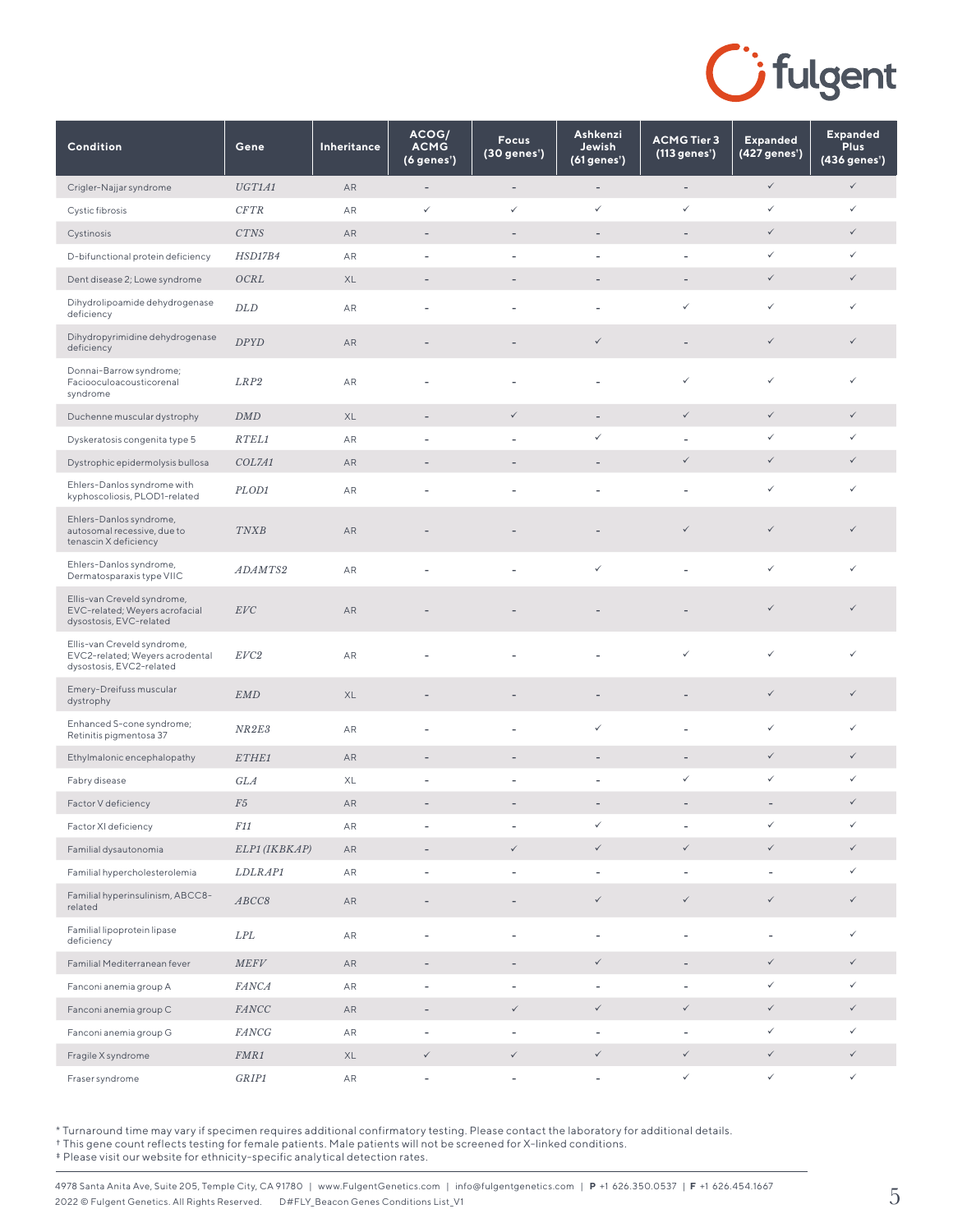

| Condition                                                                                  | Gene           | Inheritance | ACOG/<br><b>ACMG</b><br>(6 genes') | <b>Focus</b><br>(30 genes <sup>*</sup> ) | Ashkenzi<br>Jewish<br>(61 genes') | <b>ACMG Tier 3</b><br>(113 genes') | <b>Expanded</b><br>(427 genes') | <b>Expanded</b><br><b>Plus</b><br>(436 genes <sup>*</sup> ) |
|--------------------------------------------------------------------------------------------|----------------|-------------|------------------------------------|------------------------------------------|-----------------------------------|------------------------------------|---------------------------------|-------------------------------------------------------------|
| Crigler-Najjar syndrome                                                                    | UGT1A1         | AR          | $\qquad \qquad -$                  | $\overline{\phantom{0}}$                 | $\overline{\phantom{a}}$          | $\overline{\phantom{a}}$           | $\checkmark$                    | $\checkmark$                                                |
| Cystic fibrosis                                                                            | CFTR           | AR          | $\checkmark$                       | ✓                                        | ✓                                 | ✓                                  | $\checkmark$                    | ✓                                                           |
| Cystinosis                                                                                 | CTNS           | AR          | $\qquad \qquad -$                  | $\overline{\phantom{a}}$                 | $\overline{\phantom{0}}$          | $\overline{\phantom{a}}$           | $\checkmark$                    | $\checkmark$                                                |
| D-bifunctional protein deficiency                                                          | HSD17B4        | AR          | ÷                                  | ÷,                                       | ÷,                                | $\overline{\phantom{a}}$           | $\checkmark$                    | $\checkmark$                                                |
| Dent disease 2; Lowe syndrome                                                              | OCRL           | XL          | ٠                                  | ٠                                        |                                   |                                    | $\checkmark$                    | $\checkmark$                                                |
| Dihydrolipoamide dehydrogenase<br>deficiency                                               | DLD            | AR          | ٠                                  | ä,                                       | L.                                | ✓                                  | $\checkmark$                    | ✓                                                           |
| Dihydropyrimidine dehydrogenase<br>deficiency                                              | <b>DPYD</b>    | AR          |                                    |                                          | ✓                                 |                                    | $\checkmark$                    | ✓                                                           |
| Donnai-Barrow syndrome;<br>Faciooculoacousticorenal<br>syndrome                            | LRP2           | AR          |                                    |                                          |                                   | ✓                                  | $\checkmark$                    | ✓                                                           |
| Duchenne muscular dystrophy                                                                | DMD            | XL          | ÷,                                 | $\checkmark$                             | $\overline{\phantom{a}}$          | $\checkmark$                       | $\checkmark$                    | $\checkmark$                                                |
| Dyskeratosis congenita type 5                                                              | RTEL1          | AR          |                                    | ÷,                                       | ✓                                 |                                    | $\checkmark$                    | ✓                                                           |
| Dystrophic epidermolysis bullosa                                                           | COL7A1         | AR          | ٠                                  |                                          |                                   | $\checkmark$                       | $\checkmark$                    | $\checkmark$                                                |
| Ehlers-Danlos syndrome with<br>kyphoscoliosis, PLOD1-related                               | PLOD1          | AR          | ÷,                                 | ÷,                                       | $\overline{\phantom{0}}$          |                                    | $\checkmark$                    | ✓                                                           |
| Ehlers-Danlos syndrome,<br>autosomal recessive, due to<br>tenascin X deficiency            | <b>TNXB</b>    | AR          |                                    |                                          |                                   | $\checkmark$                       | $\checkmark$                    | $\checkmark$                                                |
| Ehlers-Danlos syndrome,<br>Dermatosparaxis type VIIC                                       | ADAMTS2        | AR          | L,                                 | L,                                       | ✓                                 |                                    | $\checkmark$                    | ✓                                                           |
| Ellis-van Creveld syndrome,<br>EVC-related; Weyers acrofacial<br>dysostosis, EVC-related   | EVC            | AR          |                                    |                                          |                                   |                                    | $\checkmark$                    | $\checkmark$                                                |
| Ellis-van Creveld syndrome,<br>EVC2-related; Weyers acrodental<br>dysostosis, EVC2-related | EVC2           | AR          |                                    |                                          |                                   | ✓                                  | $\checkmark$                    | ✓                                                           |
| Emery-Dreifuss muscular<br>dystrophy                                                       | <b>EMD</b>     | XL          | ٠                                  | ٠                                        | $\qquad \qquad -$                 | $\overline{\phantom{0}}$           | $\checkmark$                    | $\checkmark$                                                |
| Enhanced S-cone syndrome;<br>Retinitis pigmentosa 37                                       | NR2E3          | AR          | ٠                                  | ÷,                                       | ✓                                 |                                    | $\checkmark$                    | ✓                                                           |
| Ethylmalonic encephalopathy                                                                | ETHE1          | AR          | $\overline{\phantom{a}}$           | $\overline{\phantom{m}}$                 | $\qquad \qquad -$                 | $\overline{\phantom{a}}$           | $\checkmark$                    | $\checkmark$                                                |
| Fabry disease                                                                              | GLA            | XL          |                                    |                                          |                                   | ✓                                  | $\checkmark$                    | ✓                                                           |
| Factor V deficiency                                                                        | ${\it F5}$     | AR          |                                    |                                          |                                   |                                    | $\overline{\phantom{a}}$        | $\checkmark$                                                |
| Factor XI deficiency                                                                       | F11            | ${\sf AR}$  |                                    |                                          | ✓                                 |                                    | $\checkmark$                    | ✓                                                           |
| Familial dysautonomia                                                                      | ELP1 (IKBKAP)  | ${\sf AR}$  |                                    | $\checkmark$                             | $\checkmark$                      | $\checkmark$                       | $\checkmark$                    |                                                             |
| Familial hypercholesterolemia                                                              | <i>LDLRAP1</i> | ${\sf AR}$  | ۰                                  | i,                                       | $\overline{\phantom{0}}$          | $\overline{\phantom{a}}$           | $\overline{\phantom{a}}$        | ✓                                                           |
| Familial hyperinsulinism, ABCC8-<br>related                                                | ABCC8          | ${\sf AR}$  |                                    | $\overline{a}$                           | $\checkmark$                      | $\checkmark$                       | $\checkmark$                    | ✓                                                           |
| Familial lipoprotein lipase<br>deficiency                                                  | LPL            | ${\sf AR}$  | ÷,                                 | $\overline{\phantom{0}}$                 | $\overline{\phantom{0}}$          | $\overline{a}$                     | $\overline{\phantom{a}}$        | ✓                                                           |
| Familial Mediterranean fever                                                               | MEFV           | AR          | $\overline{\phantom{a}}$           | $\overline{\phantom{a}}$                 | $\checkmark$                      | $\overline{\phantom{a}}$           | $\checkmark$                    | $\checkmark$                                                |
| Fanconi anemia group A                                                                     | <b>FANCA</b>   | AR          | $\overline{a}$                     |                                          | $\overline{\phantom{0}}$          | $\overline{\phantom{a}}$           | $\checkmark$                    | ✓                                                           |
| Fanconi anemia group C                                                                     | FANCC          | ${\sf AR}$  | $\qquad \qquad -$                  | $\checkmark$                             | $\checkmark$                      | $\checkmark$                       | $\checkmark$                    | $\checkmark$                                                |
| Fanconi anemia group G                                                                     | <b>FANCG</b>   | AR          | $\overline{\phantom{m}}$           | $\qquad \qquad -$                        | $\overline{\phantom{a}}$          | $\overline{\phantom{a}}$           | $\checkmark$                    | $\checkmark$                                                |
| Fragile X syndrome                                                                         | FMR1           | XL          | $\checkmark$                       | $\checkmark$                             | $\checkmark$                      | $\checkmark$                       | $\checkmark$                    | $\checkmark$                                                |
| Fraser syndrome                                                                            | GRIP1          | AR          | $\overline{\phantom{a}}$           | $\qquad \qquad -$                        | $\overline{\phantom{a}}$          | $\checkmark$                       | $\checkmark$                    | $\checkmark$                                                |

† This gene count reflects testing for female patients. Male patients will not be screened for X-linked conditions.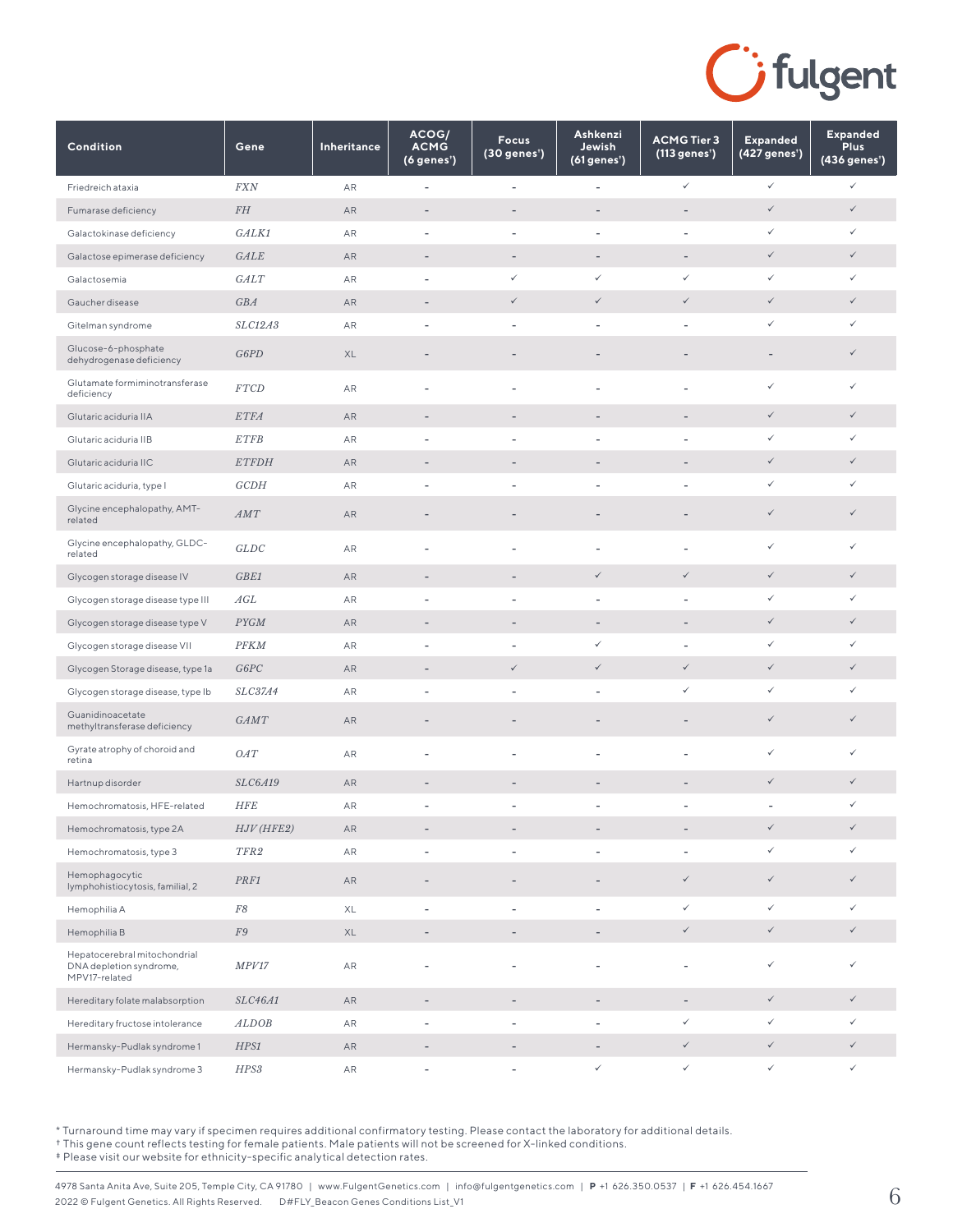

| Condition                                                                | Gene             | Inheritance | ACOG/<br><b>ACMG</b><br>(6 genes') | <b>Focus</b><br>$(30$ genes') | Ashkenzi<br>Jewish<br>(61 genes') | <b>ACMG Tier 3</b><br>(113 genes') | <b>Expanded</b><br>(427 genes') | <b>Expanded</b><br><b>Plus</b><br>(436 genes <sup>*</sup> ) |
|--------------------------------------------------------------------------|------------------|-------------|------------------------------------|-------------------------------|-----------------------------------|------------------------------------|---------------------------------|-------------------------------------------------------------|
| Friedreich ataxia                                                        | $\sqrt{F X N}$   | AR          | $\overline{\phantom{m}}$           | $\blacksquare$                | $\qquad \qquad -$                 | $\checkmark$                       | $\checkmark$                    | $\checkmark$                                                |
| Fumarase deficiency                                                      | FH               | AR          | ÷                                  | -                             | ٠                                 | $\qquad \qquad -$                  | $\checkmark$                    | $\checkmark$                                                |
| Galactokinase deficiency                                                 | GALK1            | AR          | ÷                                  | $\qquad \qquad -$             | $\overline{\phantom{0}}$          |                                    | $\checkmark$                    | ✓                                                           |
| Galactose epimerase deficiency                                           | GALE             | AR          | $\overline{\phantom{a}}$           | $\overline{\phantom{a}}$      | $\overline{\phantom{a}}$          | $\overline{\phantom{a}}$           | $\checkmark$                    | $\checkmark$                                                |
| Galactosemia                                                             | GALT             | AR          | $\overline{\phantom{a}}$           | $\checkmark$                  | ✓                                 | ✓                                  | $\checkmark$                    | $\checkmark$                                                |
| Gaucher disease                                                          | GBA              | AR          | $\overline{\phantom{a}}$           | $\checkmark$                  | $\checkmark$                      | $\checkmark$                       | $\checkmark$                    | $\checkmark$                                                |
| Gitelman syndrome                                                        | SLC12A3          | AR          | $\overline{\phantom{m}}$           | $\qquad \qquad -$             | $\overline{\phantom{0}}$          | $\qquad \qquad \blacksquare$       | $\checkmark$                    | ✓                                                           |
| Glucose-6-phosphate<br>dehydrogenase deficiency                          | G6PD             | XL          | ٠                                  | ٠                             |                                   |                                    | $\qquad \qquad -$               | ✓                                                           |
| Glutamate formiminotransferase<br>deficiency                             | <b>FTCD</b>      | AR          | ÷,                                 | ä,                            |                                   |                                    | $\checkmark$                    | $\checkmark$                                                |
| Glutaric aciduria IIA                                                    | <b>ETFA</b>      | AR          | ٠                                  | $\overline{\phantom{m}}$      | $\qquad \qquad -$                 | $\overline{\phantom{a}}$           | $\checkmark$                    | ✓                                                           |
| Glutaric aciduria IIB                                                    | <b>ETFB</b>      | AR          | ÷                                  | ÷,                            |                                   |                                    | $\checkmark$                    | $\checkmark$                                                |
| Glutaric aciduria IIC                                                    | <b>ETFDH</b>     | AR          | ٠                                  |                               |                                   |                                    | $\checkmark$                    | ✓                                                           |
| Glutaric aciduria, type I                                                | GCDH             | AR          | ٠                                  | ÷,                            | $\overline{a}$                    |                                    | $\checkmark$                    | ✓                                                           |
| Glycine encephalopathy, AMT-<br>related                                  | AMT              | AR          | ٠                                  |                               |                                   |                                    | $\checkmark$                    | ✓                                                           |
| Glycine encephalopathy, GLDC-<br>related                                 | GLDC             | AR          |                                    | Ĭ.                            | $\overline{a}$                    |                                    | $\checkmark$                    | ✓                                                           |
| Glycogen storage disease IV                                              | GBE1             | AR          | $\qquad \qquad -$                  | $\overline{\phantom{a}}$      | $\checkmark$                      | $\checkmark$                       | $\checkmark$                    | $\checkmark$                                                |
| Glycogen storage disease type III                                        | AGL              | AR          | ٠                                  | ÷,                            | $\overline{\phantom{0}}$          |                                    | $\checkmark$                    | ✓                                                           |
| Glycogen storage disease type V                                          | <b>PYGM</b>      | AR          | ٠                                  | $\overline{\phantom{a}}$      | $\overline{\phantom{a}}$          | $\overline{\phantom{a}}$           | $\checkmark$                    | ✓                                                           |
| Glycogen storage disease VII                                             | <b>PFKM</b>      | AR          | ÷                                  | $\overline{\phantom{a}}$      | ✓                                 |                                    | $\checkmark$                    | ✓                                                           |
| Glycogen Storage disease, type 1a                                        | G6PC             | AR          | $\overline{\phantom{a}}$           | $\checkmark$                  | $\checkmark$                      | $\checkmark$                       | $\checkmark$                    | $\checkmark$                                                |
| Glycogen storage disease, type Ib                                        | <i>SLC37A4</i>   | AR          | ۰                                  | i,                            | ÷,                                | ✓                                  | $\checkmark$                    | ✓                                                           |
| Guanidinoacetate<br>methyltransferase deficiency                         | <b>GAMT</b>      | AR          | ٠                                  | ٠                             |                                   |                                    | $\checkmark$                    | ✓                                                           |
| Gyrate atrophy of choroid and<br>retina                                  | OAT              | AR          |                                    |                               |                                   |                                    | ✓                               | ✓                                                           |
| Hartnup disorder                                                         | <b>SLC6A19</b>   | AR          | $\overline{\phantom{a}}$           | $\qquad \qquad -$             | $\qquad \qquad -$                 |                                    | $\checkmark$                    | $\checkmark$                                                |
| Hemochromatosis, HFE-related                                             | <b>HFE</b>       | AR          | $\overline{a}$                     | ÷                             |                                   |                                    | ÷,                              | $\checkmark$                                                |
| Hemochromatosis, type 2A                                                 | $HJV$ ( $HFE2$ ) | AR          | $\qquad \qquad -$                  |                               |                                   |                                    | $\checkmark$                    | $\checkmark$                                                |
| Hemochromatosis, type 3                                                  | TFR2             | AR          | ٠                                  | $\overline{\phantom{a}}$      | $\overline{\phantom{0}}$          | $\overline{\phantom{a}}$           | $\checkmark$                    | $\checkmark$                                                |
| Hemophagocytic<br>lymphohistiocytosis, familial, 2                       | PRF1             | AR          | $\qquad \qquad -$                  | $\overline{a}$                | $\overline{\phantom{0}}$          | $\checkmark$                       | $\checkmark$                    | $\checkmark$                                                |
| Hemophilia A                                                             | ${\cal F}8$      | XL          | $\overline{\phantom{a}}$           | $\overline{\phantom{a}}$      | $\overline{\phantom{a}}$          | ✓                                  | $\checkmark$                    | $\checkmark$                                                |
| Hemophilia B                                                             | ${\cal F}9$      | XL          | $\overline{\phantom{a}}$           | $\overline{\phantom{a}}$      | $\overline{\phantom{a}}$          | $\checkmark$                       | $\checkmark$                    | $\checkmark$                                                |
| Hepatocerebral mitochondrial<br>DNA depletion syndrome,<br>MPV17-related | MPV17            | AR          | ٠                                  |                               | $\overline{a}$                    |                                    | $\checkmark$                    |                                                             |
| Hereditary folate malabsorption                                          | SLC46A1          | ${\sf AR}$  | $\qquad \qquad -$                  | $\overline{a}$                | $\overline{\phantom{0}}$          | $\overline{\phantom{a}}$           | $\checkmark$                    | $\checkmark$                                                |
| Hereditary fructose intolerance                                          | <b>ALDOB</b>     | AR          | ۰                                  | ۰                             | $\overline{\phantom{0}}$          | ✓                                  | $\checkmark$                    | ✓                                                           |
| Hermansky-Pudlak syndrome 1                                              | $HPS1$           | AR          | ٠                                  |                               | -                                 | $\checkmark$                       | $\checkmark$                    | $\checkmark$                                                |
| Hermansky-Pudlak syndrome 3                                              | HPS3             | AR          | ÷                                  |                               | $\checkmark$                      | $\checkmark$                       | $\checkmark$                    | $\checkmark$                                                |

† This gene count reflects testing for female patients. Male patients will not be screened for X-linked conditions.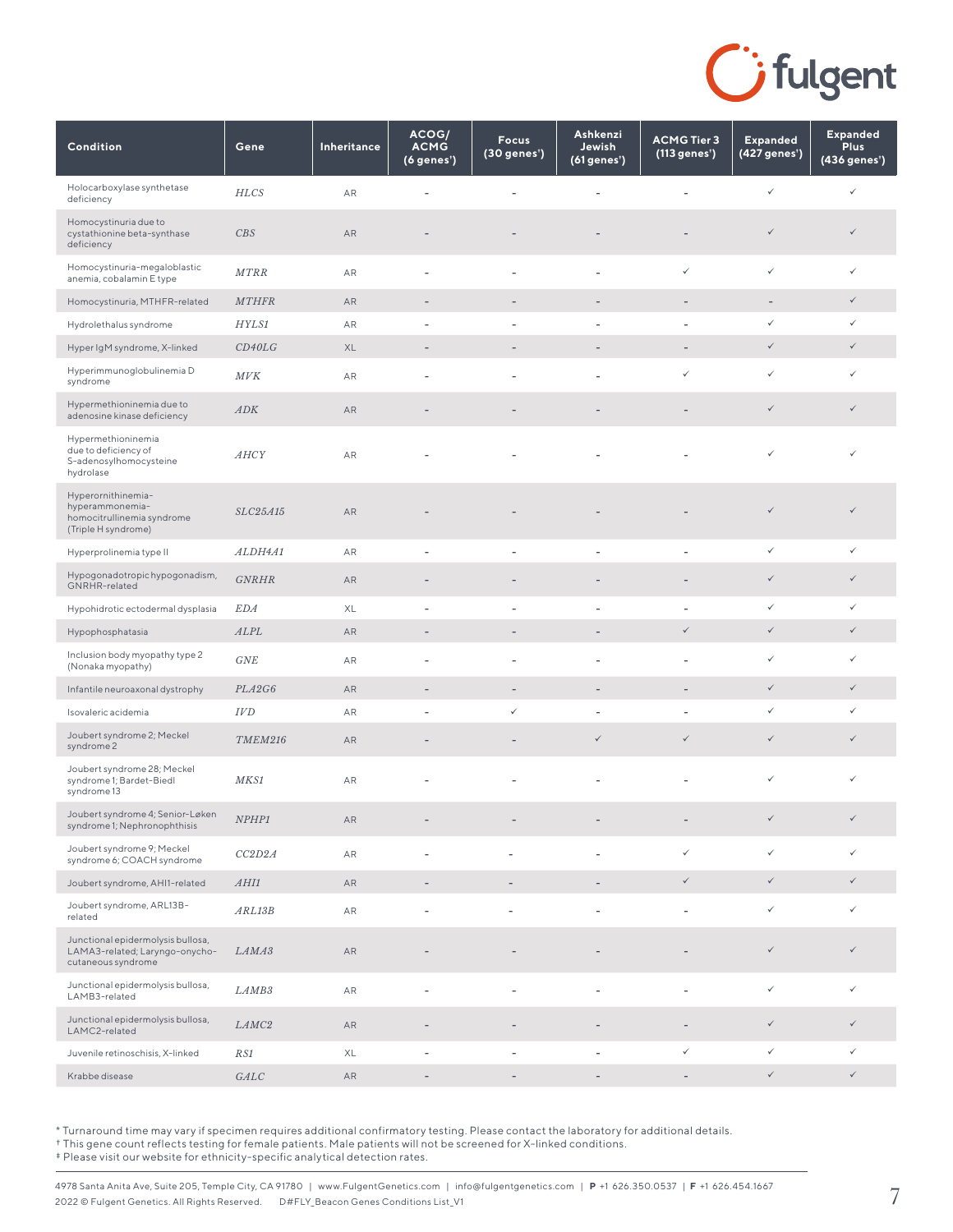

| Condition                                                                                  | Gene              | Inheritance | ACOG/<br><b>ACMG</b><br>(6 genes') | <b>Focus</b><br>(30 genes <sup>*</sup> ) | Ashkenzi<br>Jewish<br>(61 genes <sup>*</sup> ) | <b>ACMG Tier 3</b><br>(113 genes') | <b>Expanded</b><br>(427 genes <sup>*</sup> ) | <b>Expanded</b><br><b>Plus</b><br>$(436$ genes') |
|--------------------------------------------------------------------------------------------|-------------------|-------------|------------------------------------|------------------------------------------|------------------------------------------------|------------------------------------|----------------------------------------------|--------------------------------------------------|
| Holocarboxylase synthetase<br>deficiency                                                   | <b>HLCS</b>       | AR          |                                    |                                          |                                                |                                    | $\checkmark$                                 | ✓                                                |
| Homocystinuria due to<br>cystathionine beta-synthase<br>deficiency                         | CBS               | AR          |                                    |                                          |                                                |                                    | $\checkmark$                                 | $\checkmark$                                     |
| Homocystinuria-megaloblastic<br>anemia, cobalamin E type                                   | MTRR              | ${\sf AR}$  | ٠                                  | $\overline{\phantom{a}}$                 | $\overline{\phantom{a}}$                       | ✓                                  | $\checkmark$                                 | ✓                                                |
| Homocystinuria, MTHFR-related                                                              | <b>MTHFR</b>      | AR          | ٠                                  |                                          |                                                | $\overline{a}$                     | $\overline{\phantom{a}}$                     | $\checkmark$                                     |
| Hydrolethalus syndrome                                                                     | HYLS1             | AR          |                                    |                                          |                                                |                                    | ✓                                            | ✓                                                |
| Hyper IgM syndrome, X-linked                                                               | CD40LG            | XL          | ٠                                  | $\qquad \qquad -$                        |                                                | ٠                                  | $\checkmark$                                 | $\checkmark$                                     |
| Hyperimmunoglobulinemia D<br>syndrome                                                      | MVK               | AR          |                                    |                                          |                                                | ✓                                  | $\checkmark$                                 | ✓                                                |
| Hypermethioninemia due to<br>adenosine kinase deficiency                                   | ADK               | AR          |                                    |                                          |                                                |                                    | $\checkmark$                                 | $\checkmark$                                     |
| Hypermethioninemia<br>due to deficiency of<br>S-adenosylhomocysteine<br>hydrolase          | <b>AHCY</b>       | AR          |                                    |                                          |                                                |                                    | ✓                                            |                                                  |
| Hyperornithinemia-<br>hyperammonemia-<br>homocitrullinemia syndrome<br>(Triple H syndrome) | SLC25A15          | AR          |                                    |                                          |                                                |                                    | $\checkmark$                                 | $\checkmark$                                     |
| Hyperprolinemia type II                                                                    | ALDH4A1           | AR          | ÷,                                 | $\overline{\phantom{a}}$                 |                                                | ÷,                                 | $\checkmark$                                 | ✓                                                |
| Hypogonadotropic hypogonadism,<br>GNRHR-related                                            | <b>GNRHR</b>      | AR          | ٠                                  |                                          |                                                |                                    | $\checkmark$                                 | $\checkmark$                                     |
| Hypohidrotic ectodermal dysplasia                                                          | <b>EDA</b>        | XL          | ٠                                  | $\overline{\phantom{a}}$                 |                                                |                                    | ✓                                            | ✓                                                |
| Hypophosphatasia                                                                           | ALPL              | AR          | ٠                                  |                                          |                                                | ✓                                  | $\checkmark$                                 | $\checkmark$                                     |
| Inclusion body myopathy type 2<br>(Nonaka myopathy)                                        | GNE               | ${\sf AR}$  | ٠                                  | $\overline{\phantom{a}}$                 |                                                | L,                                 | $\checkmark$                                 | ✓                                                |
| Infantile neuroaxonal dystrophy                                                            | PLA2G6            | AR          | $\overline{\phantom{a}}$           | $\overline{\phantom{a}}$                 | $\overline{\phantom{m}}$                       | $\overline{a}$                     | $\checkmark$                                 | $\checkmark$                                     |
| Isovaleric acidemia                                                                        | IVD               | AR          | ٠                                  | $\checkmark$                             |                                                | ٠                                  | $\checkmark$                                 | ✓                                                |
| Joubert syndrome 2; Meckel<br>syndrome 2                                                   | TMEM216           | AR          |                                    | $\qquad \qquad -$                        | $\checkmark$                                   | $\checkmark$                       | $\checkmark$                                 | $\checkmark$                                     |
| Joubert syndrome 28; Meckel<br>syndrome 1; Bardet-Biedl<br>syndrome 13                     | MKS1              | AR          |                                    |                                          |                                                | ÷,                                 | $\checkmark$                                 | ✓                                                |
| Joubert syndrome 4; Senior-Løken<br>syndrome 1; Nephronophthisis                           | NPHP1             | ${\sf AR}$  |                                    |                                          |                                                |                                    | $\checkmark$                                 | $\checkmark$                                     |
| Joubert syndrome 9; Meckel<br>syndrome 6; COACH syndrome                                   | CC2D2A            | ${\sf AR}$  | $\blacksquare$                     | $\overline{\phantom{a}}$                 | $\overline{a}$                                 | ✓                                  | $\checkmark$                                 | ✓                                                |
| Joubert syndrome, AHI1-related                                                             | AHI1              | AR          | $\overline{\phantom{a}}$           |                                          |                                                | $\checkmark$                       | $\checkmark$                                 | $\checkmark$                                     |
| Joubert syndrome, ARL13B-<br>related                                                       | ARL13B            | AR          | ÷,                                 |                                          |                                                | ÷,                                 | $\checkmark$                                 | ✓                                                |
| Junctional epidermolysis bullosa,<br>LAMA3-related; Laryngo-onycho-<br>cutaneous syndrome  | LAMA3             | AR          |                                    |                                          |                                                |                                    | $\checkmark$                                 | $\checkmark$                                     |
| Junctional epidermolysis bullosa,<br>LAMB3-related                                         | LAMB <sub>3</sub> | ${\sf AR}$  | Ĭ.                                 | ÷,                                       |                                                | L,                                 | $\checkmark$                                 | $\checkmark$                                     |
| Junctional epidermolysis bullosa,<br>LAMC2-related                                         | LAMC <sub>2</sub> | AR          |                                    |                                          |                                                |                                    | $\checkmark$                                 | $\checkmark$                                     |
| Juvenile retinoschisis, X-linked                                                           | RS1               | XL          | $\overline{\phantom{a}}$           | $\overline{\phantom{a}}$                 | $\overline{\phantom{a}}$                       | $\checkmark$                       | $\checkmark$                                 | $\checkmark$                                     |
| Krabbe disease                                                                             | GALC              | ${\sf AR}$  | $\overline{\phantom{a}}$           | $\qquad \qquad -$                        | $\overline{\phantom{a}}$                       | $\overline{\phantom{a}}$           | $\checkmark$                                 | $\checkmark$                                     |

† This gene count reflects testing for female patients. Male patients will not be screened for X-linked conditions.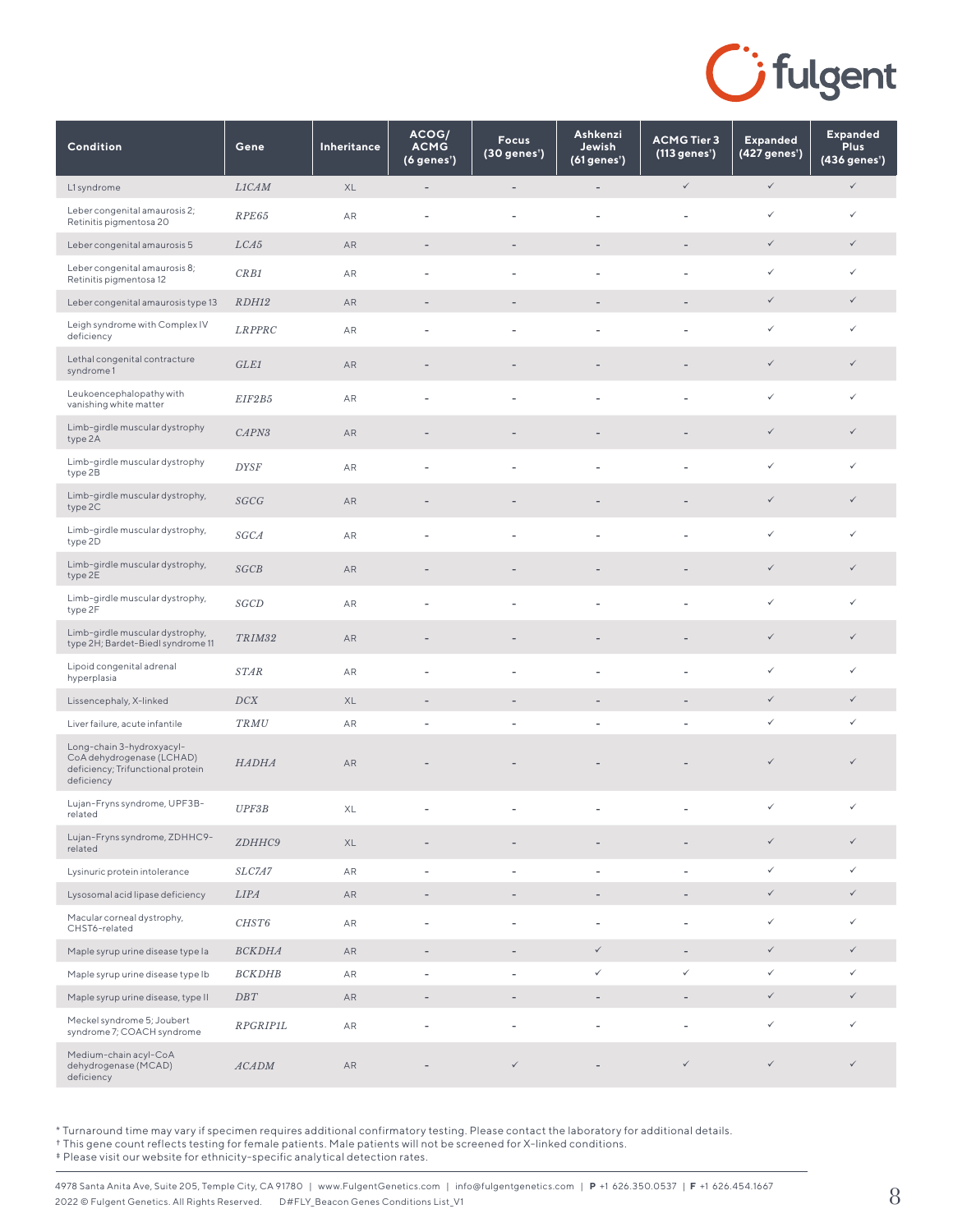

| Condition                                                                                                 | Gene            | Inheritance | ACOG/<br><b>ACMG</b><br>(6 genes') | <b>Focus</b><br>(30 genes <sup>*</sup> ) | Ashkenzi<br>Jewish<br>(61 genes') | <b>ACMG Tier 3</b><br>(113 genes') | <b>Expanded</b><br>(427 genes') | <b>Expanded</b><br><b>Plus</b><br>(436 genes <sup>*</sup> ) |
|-----------------------------------------------------------------------------------------------------------|-----------------|-------------|------------------------------------|------------------------------------------|-----------------------------------|------------------------------------|---------------------------------|-------------------------------------------------------------|
| L1 syndrome                                                                                               | L1CAM           | XL          | $\overline{\phantom{a}}$           | $\overline{\phantom{0}}$                 | $\qquad \qquad -$                 | $\checkmark$                       | $\checkmark$                    | $\checkmark$                                                |
| Leber congenital amaurosis 2;<br>Retinitis pigmentosa 20                                                  | RPE65           | AR          |                                    |                                          |                                   |                                    | $\checkmark$                    | $\checkmark$                                                |
| Leber congenital amaurosis 5                                                                              | LCA5            | AR          | $\overline{\phantom{m}}$           | -                                        | $\overline{a}$                    |                                    | $\checkmark$                    | $\checkmark$                                                |
| Leber congenital amaurosis 8;<br>Retinitis pigmentosa 12                                                  | CRB1            | AR          | ٠                                  | Ĭ.                                       | $\overline{a}$                    |                                    | $\checkmark$                    | $\checkmark$                                                |
| Leber congenital amaurosis type 13                                                                        | RDH12           | AR          | $\overline{a}$                     |                                          |                                   |                                    | $\checkmark$                    | $\checkmark$                                                |
| Leigh syndrome with Complex IV<br>deficiency                                                              | <b>LRPPRC</b>   | AR          | ÷,                                 | L,                                       | L,                                |                                    | $\checkmark$                    | $\checkmark$                                                |
| Lethal congenital contracture<br>syndrome 1                                                               | GLE1            | AR          | ٠                                  |                                          |                                   |                                    | $\checkmark$                    | $\checkmark$                                                |
| Leukoencephalopathy with<br>vanishing white matter                                                        | EIF2B5          | AR          | $\overline{a}$                     | L,                                       | L,                                |                                    | $\checkmark$                    | $\checkmark$                                                |
| Limb-girdle muscular dystrophy<br>type 2A                                                                 | CAPN3           | AR          | ٠                                  |                                          |                                   |                                    | $\checkmark$                    | $\checkmark$                                                |
| Limb-girdle muscular dystrophy<br>type 2B                                                                 | <b>DYSF</b>     | AR          |                                    |                                          |                                   |                                    | $\checkmark$                    | $\checkmark$                                                |
| Limb-girdle muscular dystrophy,<br>type 2C                                                                | SGCG            | AR          |                                    |                                          |                                   |                                    | $\checkmark$                    | $\checkmark$                                                |
| Limb-girdle muscular dystrophy,<br>type 2D                                                                | <b>SGCA</b>     | AR          | $\overline{a}$                     | ÷,                                       | ÷,                                | $\overline{\phantom{a}}$           | $\checkmark$                    | $\checkmark$                                                |
| Limb-girdle muscular dystrophy,<br>type 2E                                                                | SGCB            | AR          | ٠                                  |                                          |                                   |                                    | $\checkmark$                    | $\checkmark$                                                |
| Limb-girdle muscular dystrophy,<br>type 2F                                                                | SGCD            | AR          | ÷                                  | L,                                       | L,                                |                                    | $\checkmark$                    | $\checkmark$                                                |
| Limb-girdle muscular dystrophy,<br>type 2H; Bardet-Biedl syndrome 11                                      | TRIM32          | AR          | ٠                                  |                                          |                                   |                                    | $\checkmark$                    | $\checkmark$                                                |
| Lipoid congenital adrenal<br>hyperplasia                                                                  | <b>STAR</b>     | AR          | ٠                                  | Ĭ.                                       | Ĭ.                                |                                    | $\checkmark$                    | $\checkmark$                                                |
| Lissencephaly, X-linked                                                                                   | DCX             | XL          | $\overline{a}$                     | $\overline{a}$                           | $\qquad \qquad -$                 |                                    | $\checkmark$                    | $\checkmark$                                                |
| Liver failure, acute infantile                                                                            | TRMU            | AR          | $\overline{\phantom{a}}$           | $\overline{\phantom{0}}$                 | ÷,                                | $\overline{\phantom{a}}$           | $\checkmark$                    | $\checkmark$                                                |
| Long-chain 3-hydroxyacyl-<br>CoA dehydrogenase (LCHAD)<br>deficiency; Trifunctional protein<br>deficiency | <b>HADHA</b>    | AR          |                                    |                                          |                                   |                                    | $\checkmark$                    | $\checkmark$                                                |
| Lujan-Fryns syndrome, UPF3B-<br>related                                                                   | UPF3B           | XL          |                                    | ÷,                                       | ÷,                                |                                    | $\checkmark$                    | $\checkmark$                                                |
| Lujan-Fryns syndrome, ZDHHC9-<br>related                                                                  | ZDHHC9          | XL          |                                    |                                          |                                   |                                    | $\checkmark$                    | $\checkmark$                                                |
| Lysinuric protein intolerance                                                                             | SLC7A7          | AR          | $\overline{\phantom{m}}$           | ÷,                                       | $\overline{\phantom{0}}$          | $\overline{\phantom{a}}$           | $\checkmark$                    | $\checkmark$                                                |
| Lysosomal acid lipase deficiency                                                                          | <b>LIPA</b>     | AR          | $\overline{\phantom{m}}$           | $\overline{a}$                           | $\qquad \qquad -$                 |                                    | $\checkmark$                    | $\checkmark$                                                |
| Macular corneal dystrophy,<br>CHST6-related                                                               | CHST6           | ${\sf AR}$  | ÷,                                 | L,                                       | ÷,                                |                                    | $\checkmark$                    | $\checkmark$                                                |
| Maple syrup urine disease type la                                                                         | <b>BCKDHA</b>   | AR          | $\overline{\phantom{a}}$           | $\qquad \qquad -$                        | $\checkmark$                      | $\overline{\phantom{a}}$           | $\checkmark$                    | $\checkmark$                                                |
| Maple syrup urine disease type Ib                                                                         | <b>BCKDHB</b>   | AR          | ÷                                  | $\overline{a}$                           | ✓                                 | ✓                                  | $\checkmark$                    | $\checkmark$                                                |
| Maple syrup urine disease, type II                                                                        | $\cal{D}BT$     | AR          | $\overline{a}$                     | $\overline{\phantom{0}}$                 | $\overline{a}$                    | $\overline{\phantom{a}}$           | $\checkmark$                    | $\checkmark$                                                |
| Meckel syndrome 5; Joubert<br>syndrome 7; COACH syndrome                                                  | <b>RPGRIP1L</b> | AR          | $\overline{a}$                     | L,                                       | ÷,                                |                                    | $\checkmark$                    | $\checkmark$                                                |
| Medium-chain acyl-CoA<br>dehydrogenase (MCAD)<br>deficiency                                               | ACADM           | AR          |                                    | $\checkmark$                             |                                   | $\checkmark$                       | $\checkmark$                    | ✓                                                           |

† This gene count reflects testing for female patients. Male patients will not be screened for X-linked conditions.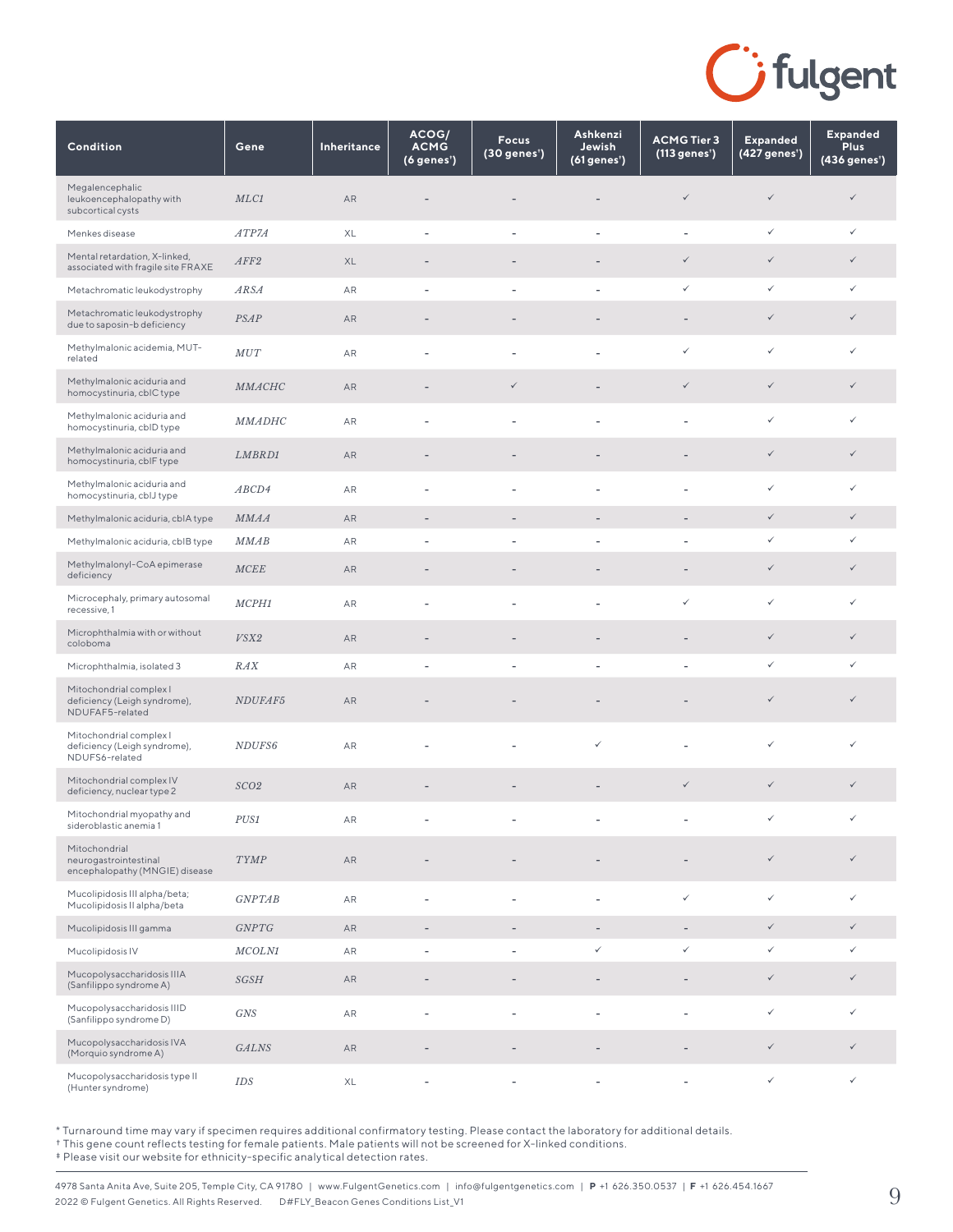

| Condition                                                                  | Gene                                  | Inheritance | ACOG/<br><b>ACMG</b><br>(6 genes') | <b>Focus</b><br>(30 genes') | Ashkenzi<br>Jewish<br>(61 genes') | <b>ACMG Tier 3</b><br>(113 genes') | <b>Expanded</b><br>(427 genes') | <b>Expanded</b><br><b>Plus</b><br>(436 genes') |
|----------------------------------------------------------------------------|---------------------------------------|-------------|------------------------------------|-----------------------------|-----------------------------------|------------------------------------|---------------------------------|------------------------------------------------|
| Megalencephalic<br>leukoencephalopathy with<br>subcortical cysts           | MLC1                                  | AR          |                                    |                             |                                   | $\checkmark$                       | $\checkmark$                    | $\checkmark$                                   |
| Menkes disease                                                             | ATP7A                                 | XL          | ÷                                  | $\overline{\phantom{a}}$    | ÷,                                | $\qquad \qquad \blacksquare$       | ✓                               | $\checkmark$                                   |
| Mental retardation, X-linked,<br>associated with fragile site FRAXE        | AFF2                                  | XL          | $\overline{a}$                     |                             |                                   | $\checkmark$                       | $\checkmark$                    | $\checkmark$                                   |
| Metachromatic leukodystrophy                                               | <b>ARSA</b>                           | AR          | ÷                                  | ÷,                          | L,                                | ✓                                  | $\checkmark$                    | ✓                                              |
| Metachromatic leukodystrophy<br>due to saposin-b deficiency                | <b>PSAP</b>                           | AR          |                                    |                             |                                   |                                    | $\checkmark$                    | $\checkmark$                                   |
| Methylmalonic acidemia, MUT-<br>related                                    | MUT                                   | AR          |                                    |                             |                                   | ✓                                  | $\checkmark$                    | $\checkmark$                                   |
| Methylmalonic aciduria and<br>homocystinuria, cbIC type                    | <b>MMACHC</b>                         | AR          | $\overline{a}$                     | $\checkmark$                | L,                                | $\checkmark$                       | $\checkmark$                    | $\checkmark$                                   |
| Methylmalonic aciduria and<br>homocystinuria, cbID type                    | <b>MMADHC</b>                         | AR          | ÷,                                 | L,                          |                                   | L,                                 | $\checkmark$                    | ✓                                              |
| Methylmalonic aciduria and<br>homocystinuria, cblF type                    | LMBRD1                                | AR          | $\overline{\phantom{m}}$           |                             |                                   | $\overline{\phantom{m}}$           | $\checkmark$                    | $\checkmark$                                   |
| Methylmalonic aciduria and<br>homocystinuria, cblJ type                    | ABCD4                                 | AR          | $\overline{\phantom{a}}$           | $\overline{\phantom{a}}$    | $\overline{\phantom{0}}$          | $\overline{\phantom{a}}$           | ✓                               | ✓                                              |
| Methylmalonic aciduria, cblA type                                          | <b>MMAA</b>                           | ${\sf AR}$  | $\overline{a}$                     | $\overline{\phantom{m}}$    |                                   |                                    | $\checkmark$                    | $\checkmark$                                   |
| Methylmalonic aciduria, cblB type                                          | <b>MMAB</b>                           | AR          | ٠                                  | ÷,                          |                                   |                                    | ✓                               | $\checkmark$                                   |
| Methylmalonyl-CoA epimerase<br>deficiency                                  | MCEE                                  | AR          | $\overline{a}$                     |                             |                                   |                                    | $\checkmark$                    | $\checkmark$                                   |
| Microcephaly, primary autosomal<br>recessive, 1                            | MCPH1                                 | AR          | $\overline{a}$                     | L,                          | L,                                | ✓                                  | $\checkmark$                    | ✓                                              |
| Microphthalmia with or without<br>coloboma                                 | VSX2                                  | AR          | $\overline{\phantom{a}}$           | $\qquad \qquad -$           | $\qquad \qquad -$                 | $\overline{\phantom{a}}$           | $\checkmark$                    | $\checkmark$                                   |
| Microphthalmia, isolated 3                                                 | RAX                                   | ${\sf AR}$  | $\blacksquare$                     | $\overline{\phantom{a}}$    | $\overline{\phantom{a}}$          | $\overline{\phantom{a}}$           | $\checkmark$                    | $\checkmark$                                   |
| Mitochondrial complex I<br>deficiency (Leigh syndrome),<br>NDUFAF5-related | NDUFAF5                               | AR          |                                    |                             |                                   |                                    | $\checkmark$                    | $\checkmark$                                   |
| Mitochondrial complex I<br>deficiency (Leigh syndrome),<br>NDUFS6-related  | NDUFS6                                | ${\sf AR}$  |                                    |                             | $\checkmark$                      |                                    | $\checkmark$                    | $\checkmark$                                   |
| Mitochondrial complex IV<br>deficiency, nuclear type 2                     | SCO <sub>2</sub>                      | ${\sf AR}$  |                                    |                             |                                   | $\checkmark$                       | $\checkmark$                    | $\checkmark$                                   |
| Mitochondrial myopathy and<br>sideroblastic anemia 1                       | ${\cal P} {\cal U} {\cal S} {\cal I}$ | ${\sf AR}$  |                                    |                             |                                   |                                    | $\checkmark$                    | ✓                                              |
| Mitochondrial<br>neurogastrointestinal<br>encephalopathy (MNGIE) disease   | <b>TYMP</b>                           | ${\sf AR}$  |                                    |                             |                                   |                                    | $\checkmark$                    | $\checkmark$                                   |
| Mucolipidosis III alpha/beta;<br>Mucolipidosis II alpha/beta               | GNPTAB                                | ${\sf AR}$  | ÷,                                 | ÷,                          | $\overline{\phantom{a}}$          | $\checkmark$                       | $\checkmark$                    | $\checkmark$                                   |
| Mucolipidosis III gamma                                                    | GNPTG                                 | ${\sf AR}$  | $\overline{a}$                     |                             |                                   |                                    | $\checkmark$                    | $\checkmark$                                   |
| Mucolipidosis IV                                                           | MCOLN1                                | AR          | $\overline{\phantom{m}}$           | ÷,                          | $\checkmark$                      | ✓                                  | ✓                               | ✓                                              |
| Mucopolysaccharidosis IIIA<br>(Sanfilippo syndrome A)                      | SGSH                                  | ${\sf AR}$  |                                    |                             |                                   |                                    | $\checkmark$                    | $\checkmark$                                   |
| Mucopolysaccharidosis IIID<br>(Sanfilippo syndrome D)                      | <b>GNS</b>                            | ${\sf AR}$  | ÷,                                 | L,                          | L,                                |                                    | $\checkmark$                    | $\checkmark$                                   |
| Mucopolysaccharidosis IVA<br>(Morquio syndrome A)                          | <b>GALNS</b>                          | AR          | $\overline{a}$                     | $\qquad \qquad -$           |                                   |                                    | $\checkmark$                    | $\checkmark$                                   |
| Mucopolysaccharidosis type II<br>(Hunter syndrome)                         | <b>IDS</b>                            | XL          |                                    |                             |                                   |                                    | $\checkmark$                    | $\checkmark$                                   |

† This gene count reflects testing for female patients. Male patients will not be screened for X-linked conditions.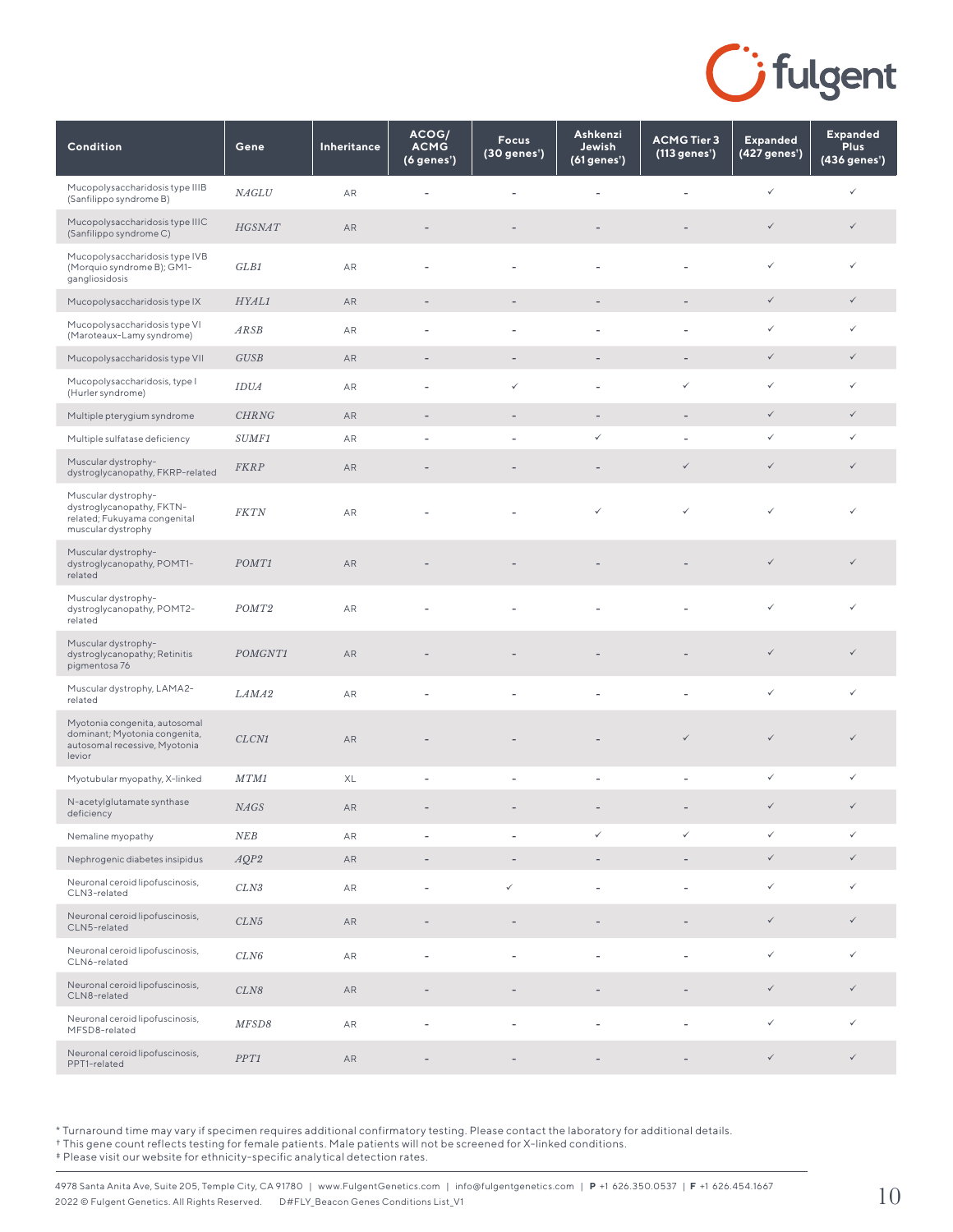

| Condition                                                                                                 | Gene              | Inheritance | ACOG/<br><b>ACMG</b><br>(6 genes') | <b>Focus</b><br>(30 genes') | Ashkenzi<br>Jewish<br>(61 genes') | <b>ACMG Tier 3</b><br>(113 genes') | <b>Expanded</b><br>(427 genes') | <b>Expanded</b><br><b>Plus</b><br>$(436$ genes') |
|-----------------------------------------------------------------------------------------------------------|-------------------|-------------|------------------------------------|-----------------------------|-----------------------------------|------------------------------------|---------------------------------|--------------------------------------------------|
| Mucopolysaccharidosis type IIIB<br>(Sanfilippo syndrome B)                                                | NAGLU             | AR          |                                    |                             |                                   |                                    | $\checkmark$                    | ✓                                                |
| Mucopolysaccharidosis type IIIC<br>(Sanfilippo syndrome C)                                                | <b>HGSNAT</b>     | AR          | ٠                                  |                             |                                   | $\overline{\phantom{a}}$           | $\checkmark$                    | $\checkmark$                                     |
| Mucopolysaccharidosis type IVB<br>(Morquio syndrome B); GM1-<br>gangliosidosis                            | GLB1              | AR          |                                    |                             |                                   | ÷,                                 | $\checkmark$                    | ✓                                                |
| Mucopolysaccharidosis type IX                                                                             | HYAL1             | AR          | $\overline{\phantom{a}}$           |                             | $\qquad \qquad -$                 | $\qquad \qquad -$                  | $\checkmark$                    | $\checkmark$                                     |
| Mucopolysaccharidosis type VI<br>(Maroteaux-Lamy syndrome)                                                | ARSB              | AR          |                                    |                             |                                   | ÷,                                 | $\checkmark$                    | $\checkmark$                                     |
| Mucopolysaccharidosis type VII                                                                            | GUSB              | AR          | $\overline{\phantom{a}}$           | $\overline{\phantom{a}}$    | $\overline{\phantom{a}}$          | $\overline{\phantom{a}}$           | $\checkmark$                    | $\checkmark$                                     |
| Mucopolysaccharidosis, type I<br>(Hurler syndrome)                                                        | <b>IDUA</b>       | AR          | ÷,                                 | $\checkmark$                | $\overline{a}$                    | $\checkmark$                       | $\checkmark$                    | $\checkmark$                                     |
| Multiple pterygium syndrome                                                                               | <b>CHRNG</b>      | AR          | $\overline{\phantom{a}}$           | $\qquad \qquad -$           | $\overline{\phantom{a}}$          | $\overline{a}$                     | $\checkmark$                    | $\checkmark$                                     |
| Multiple sulfatase deficiency                                                                             | SUMF1             | AR          | ٠                                  | $\overline{\phantom{a}}$    | $\checkmark$                      |                                    | ✓                               | $\checkmark$                                     |
| Muscular dystrophy-<br>dystroglycanopathy, FKRP-related                                                   | <b>FKRP</b>       | AR          |                                    |                             |                                   | ✓                                  | $\checkmark$                    | $\checkmark$                                     |
| Muscular dystrophy-<br>dystroglycanopathy, FKTN-<br>related; Fukuyama congenital<br>muscular dystrophy    | <b>FKTN</b>       | AR          |                                    |                             | ✓                                 | ✓                                  | $\checkmark$                    | ✓                                                |
| Muscular dystrophy-<br>dystroglycanopathy, POMT1-<br>related                                              | POMT1             | AR          |                                    |                             |                                   |                                    | $\checkmark$                    | $\checkmark$                                     |
| Muscular dystrophy-<br>dystroglycanopathy, POMT2-<br>related                                              | POMT <sub>2</sub> | AR          |                                    |                             |                                   |                                    | $\checkmark$                    | ✓                                                |
| Muscular dystrophy-<br>dystroglycanopathy; Retinitis<br>pigmentosa 76                                     | POMGNT1           | AR          |                                    |                             |                                   |                                    | $\checkmark$                    | $\checkmark$                                     |
| Muscular dystrophy, LAMA2-<br>related                                                                     | LAMA2             | AR          | ÷,                                 |                             | $\overline{\phantom{a}}$          | ÷,                                 | $\checkmark$                    | $\checkmark$                                     |
| Myotonia congenita, autosomal<br>dominant; Myotonia congenita,<br>autosomal recessive, Myotonia<br>levior | CLCN1             | AR          |                                    |                             |                                   | ✓                                  | $\checkmark$                    | $\checkmark$                                     |
| Myotubular myopathy, X-linked                                                                             | MTM1              | XL          | $\overline{\phantom{a}}$           | $\overline{\phantom{a}}$    | $\overline{\phantom{a}}$          | $\overline{\phantom{a}}$           | $\checkmark$                    | $\checkmark$                                     |
| N-acetylglutamate synthase<br>deficiency                                                                  | <b>NAGS</b>       | AR          |                                    |                             |                                   | ٠                                  | $\checkmark$                    | $\checkmark$                                     |
| Nemaline myopathy                                                                                         | NEB               | AR          |                                    |                             | ✓                                 |                                    | ✓                               | ✓                                                |
| Nephrogenic diabetes insipidus                                                                            | AQP2              | AR          |                                    |                             |                                   |                                    | $\checkmark$                    | $\checkmark$                                     |
| Neuronal ceroid lipofuscinosis,<br>CLN3-related                                                           | CLN3              | AR          |                                    | ✓                           |                                   |                                    | $\checkmark$                    | ✓                                                |
| Neuronal ceroid lipofuscinosis,<br>CLN5-related                                                           | CLN5              | AR          |                                    |                             |                                   |                                    | $\checkmark$                    | $\checkmark$                                     |
| Neuronal ceroid lipofuscinosis,<br>CLN6-related                                                           | CLN6              | AR          | ÷,                                 | $\overline{\phantom{a}}$    | $\overline{\phantom{a}}$          | ÷,                                 | $\checkmark$                    | ✓                                                |
| Neuronal ceroid lipofuscinosis,<br>CLN8-related                                                           | CLN8              | AR          |                                    |                             |                                   |                                    | $\checkmark$                    | $\checkmark$                                     |
| Neuronal ceroid lipofuscinosis,<br>MFSD8-related                                                          | MFSD8             | AR          | ÷,                                 | $\overline{a}$              |                                   | L                                  | $\checkmark$                    | ✓                                                |
| Neuronal ceroid lipofuscinosis,<br>PPT1-related                                                           | PPT1              | AR          | $\overline{\phantom{a}}$           | $\overline{\phantom{a}}$    | $\overline{\phantom{a}}$          | $\overline{\phantom{a}}$           | $\checkmark$                    | $\checkmark$                                     |

† This gene count reflects testing for female patients. Male patients will not be screened for X-linked conditions.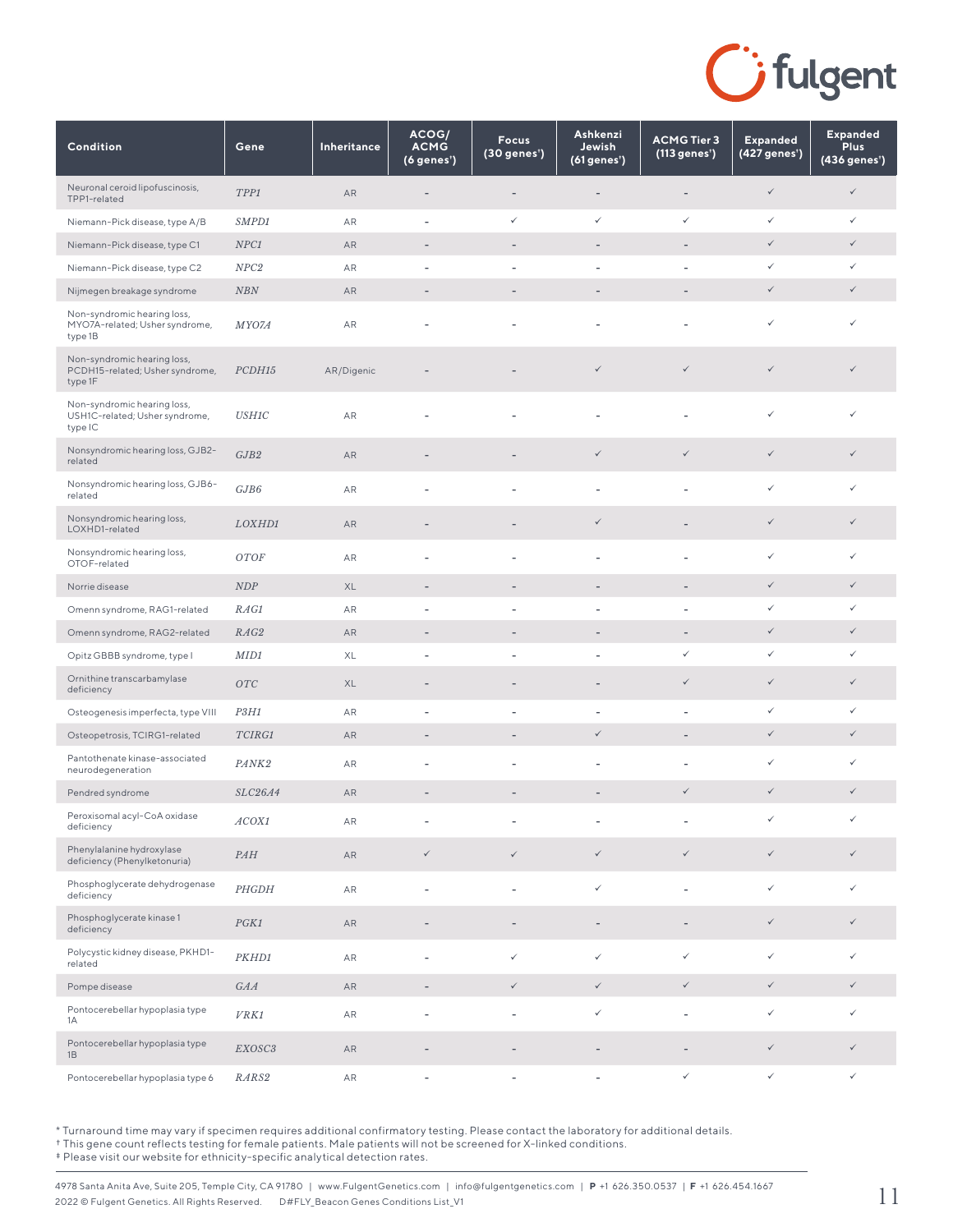

| Condition                                                                 | Gene                          | <b>Inheritance</b> | ACOG/<br><b>ACMG</b><br>(6 genes') | <b>Focus</b><br>(30 genes') | Ashkenzi<br>Jewish<br>(61 genes') | <b>ACMG Tier 3</b><br>(113 genes') | <b>Expanded</b><br>(427 genes') | <b>Expanded</b><br><b>Plus</b><br>$(436$ genes <sup>†</sup> ) |
|---------------------------------------------------------------------------|-------------------------------|--------------------|------------------------------------|-----------------------------|-----------------------------------|------------------------------------|---------------------------------|---------------------------------------------------------------|
| Neuronal ceroid lipofuscinosis,<br>TPP1-related                           | TPP1                          | AR                 |                                    |                             |                                   |                                    | $\checkmark$                    | $\checkmark$                                                  |
| Niemann-Pick disease, type A/B                                            | SMPD1                         | AR                 | ÷,                                 | $\checkmark$                | $\checkmark$                      | $\checkmark$                       | $\checkmark$                    | $\checkmark$                                                  |
| Niemann-Pick disease, type C1                                             | NPC1                          | AR                 | ٠                                  |                             |                                   |                                    | $\checkmark$                    | $\checkmark$                                                  |
| Niemann-Pick disease, type C2                                             | NPC <sub>2</sub>              | AR                 |                                    |                             |                                   |                                    | ✓                               | ✓                                                             |
| Nijmegen breakage syndrome                                                | NBN                           | AR                 | ٠                                  | $\overline{\phantom{a}}$    |                                   | ٠                                  | $\checkmark$                    | $\checkmark$                                                  |
| Non-syndromic hearing loss,<br>MYO7A-related; Usher syndrome,<br>type 1B  | <i>MYO7A</i>                  | AR                 |                                    |                             |                                   |                                    | ✓                               | ✓                                                             |
| Non-syndromic hearing loss,<br>PCDH15-related; Usher syndrome,<br>type 1F | PCDH15                        | AR/Digenic         |                                    |                             | $\checkmark$                      | $\checkmark$                       | $\checkmark$                    | $\checkmark$                                                  |
| Non-syndromic hearing loss,<br>USH1C-related; Usher syndrome,<br>type IC  | <b>USH1C</b>                  | AR                 |                                    |                             |                                   |                                    | $\checkmark$                    | ✓                                                             |
| Nonsyndromic hearing loss, GJB2-<br>related                               | GJB2                          | AR                 |                                    |                             | $\checkmark$                      | ✓                                  | $\checkmark$                    | $\checkmark$                                                  |
| Nonsyndromic hearing loss, GJB6-<br>related                               | GJB6                          | AR                 | ٠                                  | $\overline{a}$              | $\overline{a}$                    | $\overline{a}$                     | $\checkmark$                    | ✓                                                             |
| Nonsyndromic hearing loss,<br>LOXHD1-related                              | LOXHD1                        | AR                 |                                    |                             | $\checkmark$                      |                                    | $\checkmark$                    | $\checkmark$                                                  |
| Nonsyndromic hearing loss,<br>OTOF-related                                | <b>OTOF</b>                   | AR                 |                                    |                             |                                   |                                    | $\checkmark$                    | ✓                                                             |
| Norrie disease                                                            | NDP                           | XL                 | $\overline{\phantom{a}}$           | $\qquad \qquad -$           | $\qquad \qquad -$                 | $\overline{\phantom{a}}$           | $\checkmark$                    | $\checkmark$                                                  |
| Omenn syndrome, RAG1-related                                              | RAG1                          | AR                 |                                    | $\overline{a}$              |                                   | ٠                                  | $\checkmark$                    | ✓                                                             |
| Omenn syndrome, RAG2-related                                              | RAG2                          | AR                 | $\overline{\phantom{a}}$           | $\overline{\phantom{a}}$    | $\overline{\phantom{a}}$          | $\overline{a}$                     | $\checkmark$                    | $\checkmark$                                                  |
| Opitz GBBB syndrome, type I                                               | MID1                          | XL                 | ٠                                  | $\overline{a}$              | $\overline{\phantom{a}}$          | ✓                                  | $\checkmark$                    | ✓                                                             |
| Ornithine transcarbamylase<br>deficiency                                  | OTC                           | XL                 | ٠                                  | $\overline{a}$              |                                   | ✓                                  | $\checkmark$                    | $\checkmark$                                                  |
| Osteogenesis imperfecta, type VIII                                        | P3H1                          | AR                 | ÷                                  | $\overline{a}$              | $\overline{\phantom{a}}$          | ÷,                                 | $\checkmark$                    | $\checkmark$                                                  |
| Osteopetrosis, TCIRG1-related                                             | TCIRG1                        | AR                 | $\overline{\phantom{a}}$           | $\qquad \qquad -$           | $\checkmark$                      | $\overline{\phantom{a}}$           | $\checkmark$                    | $\checkmark$                                                  |
| Pantothenate kinase-associated<br>neurodegeneration                       | PANK2                         | AR                 |                                    |                             |                                   |                                    | $\checkmark$                    | ✓                                                             |
| Pendred syndrome                                                          | SLC26A4                       | AR                 | ٠                                  | $\overline{a}$              | $\overline{\phantom{a}}$          | $\checkmark$                       | $\checkmark$                    | $\checkmark$                                                  |
| Peroxisomal acyl-CoA oxidase<br>deficiency                                | $\mathcal{A} \mathcal{CO} X1$ | AR                 |                                    |                             |                                   |                                    | $\checkmark$                    | . /                                                           |
| Phenylalanine hydroxylase<br>deficiency (Phenylketonuria)                 | PAH                           | AR                 | $\checkmark$                       | $\checkmark$                | $\checkmark$                      | $\checkmark$                       | $\checkmark$                    | $\checkmark$                                                  |
| Phosphoglycerate dehydrogenase<br>deficiency                              | PHGDH                         | ${\sf AR}$         | $\overline{\phantom{a}}$           | $\overline{\phantom{a}}$    | $\checkmark$                      | $\qquad \qquad \blacksquare$       | $\checkmark$                    | ✓                                                             |
| Phosphoglycerate kinase 1<br>deficiency                                   | PGK1                          | ${\sf AR}$         | ٠                                  | $\overline{\phantom{a}}$    | $\overline{\phantom{a}}$          | $\overline{\phantom{a}}$           | $\checkmark$                    | $\checkmark$                                                  |
| Polycystic kidney disease, PKHD1-<br>related                              | PKHD1                         | ${\sf AR}$         | ÷,                                 | $\checkmark$                | $\checkmark$                      | $\checkmark$                       | $\checkmark$                    | $\checkmark$                                                  |
| Pompe disease                                                             | $G A A$                       | AR                 |                                    | $\checkmark$                | $\checkmark$                      | $\checkmark$                       | $\checkmark$                    | $\checkmark$                                                  |
| Pontocerebellar hypoplasia type<br>1A                                     | VRK1                          | ${\sf AR}$         |                                    | $\overline{a}$              | $\checkmark$                      | $\overline{a}$                     | $\checkmark$                    | ✓                                                             |
| Pontocerebellar hypoplasia type<br>1B                                     | EXOSC3                        | AR                 |                                    |                             |                                   | $\overline{\phantom{a}}$           | $\checkmark$                    | $\checkmark$                                                  |
| Pontocerebellar hypoplasia type 6                                         | RARS2                         | AR                 | $\overline{\phantom{a}}$           | $\overline{\phantom{a}}$    | $\overline{\phantom{a}}$          | $\checkmark$                       | $\checkmark$                    | $\checkmark$                                                  |

† This gene count reflects testing for female patients. Male patients will not be screened for X-linked conditions.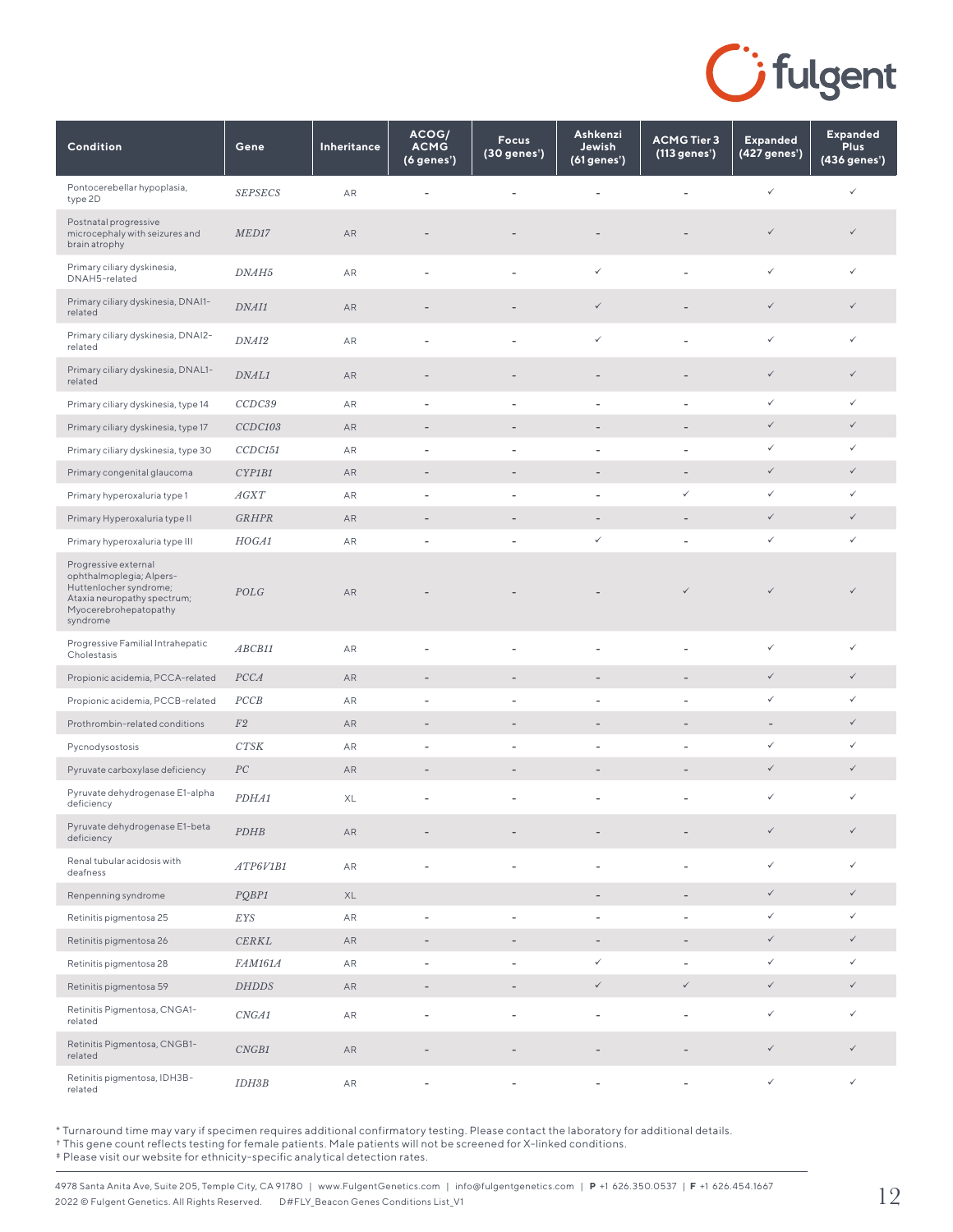

| Condition                                                                                                                                      | Gene              | Inheritance | ACOG/<br><b>ACMG</b><br>(6 genes') | <b>Focus</b><br>(30 genes') | Ashkenzi<br>Jewish<br>(61 genes') | <b>ACMG Tier 3</b><br>(113 genes') | <b>Expanded</b><br>(427 genes') | <b>Expanded</b><br><b>Plus</b><br>$(436$ genes') |
|------------------------------------------------------------------------------------------------------------------------------------------------|-------------------|-------------|------------------------------------|-----------------------------|-----------------------------------|------------------------------------|---------------------------------|--------------------------------------------------|
| Pontocerebellar hypoplasia,<br>type 2D                                                                                                         | <b>SEPSECS</b>    | AR          |                                    |                             |                                   |                                    | $\checkmark$                    | ✓                                                |
| Postnatal progressive<br>microcephaly with seizures and<br>brain atrophy                                                                       | MED17             | ${\sf AR}$  |                                    |                             |                                   |                                    | $\checkmark$                    | $\checkmark$                                     |
| Primary ciliary dyskinesia,<br>DNAH5-related                                                                                                   | DNAH <sub>5</sub> | ${\sf AR}$  | $\overline{\phantom{a}}$           | $\overline{a}$              | $\checkmark$                      |                                    | $\checkmark$                    | ✓                                                |
| Primary ciliary dyskinesia, DNAI1-<br>related                                                                                                  | DNAI1             | AR          |                                    |                             | ✓                                 |                                    | $\checkmark$                    | $\checkmark$                                     |
| Primary ciliary dyskinesia, DNAI2-<br>related                                                                                                  | DNAI2             | AR          | ÷,                                 | ä,                          | $\checkmark$                      |                                    | $\checkmark$                    | ✓                                                |
| Primary ciliary dyskinesia, DNAL1-<br>related                                                                                                  | DNAL1             | AR          | $\overline{a}$                     | -                           |                                   |                                    | $\checkmark$                    | $\checkmark$                                     |
| Primary ciliary dyskinesia, type 14                                                                                                            | CCDC39            | AR          | ÷                                  | $\overline{a}$              |                                   | ÷,                                 | ✓                               | $\checkmark$                                     |
| Primary ciliary dyskinesia, type 17                                                                                                            | CCDC103           | AR          | $\overline{\phantom{a}}$           | $\overline{a}$              | ٠                                 | $\overline{a}$                     | $\checkmark$                    | $\checkmark$                                     |
| Primary ciliary dyskinesia, type 30                                                                                                            | CCDC151           | AR          | $\overline{a}$                     | L,                          | L,                                | L,                                 | ✓                               | ✓                                                |
| Primary congenital glaucoma                                                                                                                    | CYP1B1            | AR          | $\overline{\phantom{a}}$           | $\qquad \qquad -$           | $\overline{\phantom{a}}$          | $\overline{\phantom{m}}$           | $\checkmark$                    | $\checkmark$                                     |
| Primary hyperoxaluria type 1                                                                                                                   | AGXT              | AR          | $\overline{\phantom{a}}$           | $\overline{\phantom{a}}$    |                                   | $\checkmark$                       | ✓                               | ✓                                                |
| Primary Hyperoxaluria type II                                                                                                                  | <b>GRHPR</b>      | AR          | $\overline{\phantom{m}}$           | $\qquad \qquad -$           | $\qquad \qquad -$                 |                                    | $\checkmark$                    | $\checkmark$                                     |
| Primary hyperoxaluria type III                                                                                                                 | HOGA1             | AR          | ÷                                  | $\overline{\phantom{a}}$    | $\checkmark$                      | $\overline{a}$                     | $\checkmark$                    | $\checkmark$                                     |
| Progressive external<br>ophthalmoplegia; Alpers-<br>Huttenlocher syndrome;<br>Ataxia neuropathy spectrum;<br>Myocerebrohepatopathy<br>syndrome | POLG              | ${\sf AR}$  |                                    |                             |                                   | $\checkmark$                       | $\checkmark$                    | $\checkmark$                                     |
| Progressive Familial Intrahepatic<br>Cholestasis                                                                                               | ABCB11            | AR          | $\overline{a}$                     | ä,                          | L.                                | $\overline{a}$                     | $\checkmark$                    | ✓                                                |
| Propionic acidemia, PCCA-related                                                                                                               | PCCA              | AR          | $\overline{\phantom{m}}$           | $\overline{\phantom{m}}$    |                                   | $\overline{\phantom{m}}$           | $\checkmark$                    | $\checkmark$                                     |
| Propionic acidemia, PCCB-related                                                                                                               | PCCB              | AR          | ł,                                 | ÷,                          |                                   |                                    | ✓                               | ✓                                                |
| Prothrombin-related conditions                                                                                                                 | F2                | AR          | $\overline{\phantom{m}}$           | $\qquad \qquad -$           | -                                 | $\overline{a}$                     | $\overline{\phantom{a}}$        | $\checkmark$                                     |
| Pycnodysostosis                                                                                                                                | CTSK              | AR          | $\overline{\phantom{a}}$           | $\overline{\phantom{a}}$    |                                   |                                    | ✓                               | ✓                                                |
| Pyruvate carboxylase deficiency                                                                                                                | PC                | AR          | $\overline{\phantom{a}}$           | $\overline{\phantom{a}}$    | $\overline{\phantom{a}}$          | $\overline{\phantom{a}}$           | $\checkmark$                    | $\checkmark$                                     |
| Pyruvate dehydrogenase E1-alpha<br>deficiency                                                                                                  | PDHA1             | XL          | $\overline{\phantom{a}}$           | $\overline{\phantom{a}}$    | $\overline{a}$                    | $\overline{\phantom{a}}$           | $\checkmark$                    | ✓                                                |
| Pyruvate dehydrogenase E1-beta<br>deficiency                                                                                                   | PDHB              | ${\sf AR}$  |                                    |                             |                                   |                                    | $\checkmark$                    | $\checkmark$                                     |
| Renal tubular acidosis with<br>deafness                                                                                                        | ATP6V1B1          | ${\sf AR}$  | ÷,                                 |                             |                                   |                                    | $\checkmark$                    | ✓                                                |
| Renpenning syndrome                                                                                                                            | PQBP1             | XL          |                                    |                             | $\overline{\phantom{0}}$          | $\overline{\phantom{a}}$           | $\checkmark$                    | $\checkmark$                                     |
| Retinitis pigmentosa 25                                                                                                                        | EYS               | ${\sf AR}$  | $\overline{\phantom{a}}$           | ÷,                          | $\overline{\phantom{0}}$          | $\overline{\phantom{a}}$           | $\checkmark$                    | $\checkmark$                                     |
| Retinitis pigmentosa 26                                                                                                                        | CERKL             | AR          | $\qquad \qquad -$                  | $\qquad \qquad -$           | $\overline{\phantom{a}}$          | $\overline{\phantom{a}}$           | $\checkmark$                    | $\checkmark$                                     |
| Retinitis pigmentosa 28                                                                                                                        | <b>FAM161A</b>    | AR          | ÷,                                 | L,                          | $\checkmark$                      | $\overline{\phantom{a}}$           | $\checkmark$                    | ✓                                                |
| Retinitis pigmentosa 59                                                                                                                        | <b>DHDDS</b>      | ${\sf AR}$  | $\overline{\phantom{m}}$           | $\qquad \qquad -$           | $\checkmark$                      | $\checkmark$                       | $\checkmark$                    | $\checkmark$                                     |
| Retinitis Pigmentosa, CNGA1-<br>related                                                                                                        | CNGA1             | ${\sf AR}$  | ÷                                  | L,                          | L,                                | $\overline{a}$                     | $\checkmark$                    | ✓                                                |
| Retinitis Pigmentosa, CNGB1-<br>related                                                                                                        | CNGB1             | ${\sf AR}$  | $\overline{\phantom{m}}$           | -                           | -                                 |                                    | $\checkmark$                    | $\checkmark$                                     |
| Retinitis pigmentosa, IDH3B-<br>related                                                                                                        | <i>IDH3B</i>      | ${\sf AR}$  |                                    |                             |                                   |                                    | $\checkmark$                    | ✓                                                |

† This gene count reflects testing for female patients. Male patients will not be screened for X-linked conditions.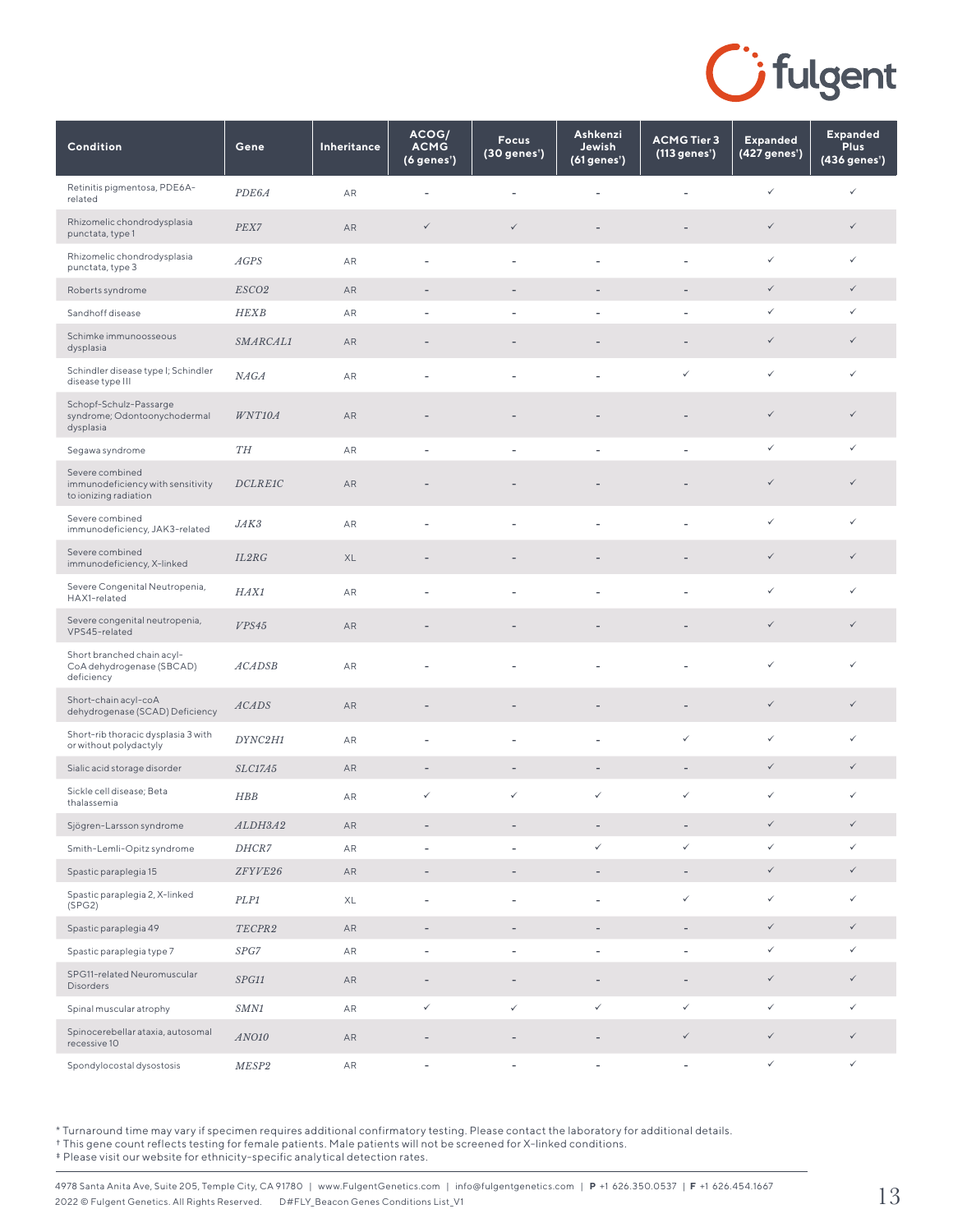

| Condition                                                                     | Gene              | Inheritance | ACOG/<br><b>ACMG</b><br>(6 genes') | <b>Focus</b><br>(30 genes <sup>*</sup> ) | Ashkenzi<br>Jewish<br>(61 genes') | <b>ACMG Tier 3</b><br>(113 genes <sup>*</sup> ) | <b>Expanded</b><br>(427 genes') | <b>Expanded</b><br><b>Plus</b><br>(436 genes') |
|-------------------------------------------------------------------------------|-------------------|-------------|------------------------------------|------------------------------------------|-----------------------------------|-------------------------------------------------|---------------------------------|------------------------------------------------|
| Retinitis pigmentosa, PDE6A-<br>related                                       | PDE6A             | AR          | ÷,                                 | L,                                       |                                   |                                                 | $\checkmark$                    | ✓                                              |
| Rhizomelic chondrodysplasia<br>punctata, type 1                               | PEX7              | AR          | $\checkmark$                       | $\checkmark$                             | $\qquad \qquad -$                 | $\overline{\phantom{a}}$                        | $\checkmark$                    | $\checkmark$                                   |
| Rhizomelic chondrodysplasia<br>punctata, type 3                               | AGPS              | AR          | ÷,                                 | $\overline{\phantom{a}}$                 |                                   |                                                 | $\checkmark$                    | ✓                                              |
| Roberts syndrome                                                              | ESCO <sub>2</sub> | AR          | $\overline{\phantom{a}}$           | $\overline{\phantom{a}}$                 | $\qquad \qquad -$                 | $\overline{a}$                                  | $\checkmark$                    | $\checkmark$                                   |
| Sandhoff disease                                                              | <b>HEXB</b>       | AR          |                                    |                                          |                                   | ÷,                                              | $\checkmark$                    | ✓                                              |
| Schimke immunoosseous<br>dysplasia                                            | SMARCAL1          | AR          |                                    |                                          |                                   |                                                 | $\checkmark$                    | $\checkmark$                                   |
| Schindler disease type I; Schindler<br>disease type III                       | NAGA              | <b>AR</b>   | ÷,                                 |                                          |                                   | $\checkmark$                                    | $\checkmark$                    | $\checkmark$                                   |
| Schopf-Schulz-Passarge<br>syndrome; Odontoonychodermal<br>dysplasia           | WNT10A            | AR          |                                    |                                          |                                   |                                                 | $\checkmark$                    | $\checkmark$                                   |
| Segawa syndrome                                                               | ${\cal T}H$       | AR          | ٠                                  | $\overline{\phantom{a}}$                 |                                   | ٠                                               | $\checkmark$                    | ✓                                              |
| Severe combined<br>immunodeficiency with sensitivity<br>to ionizing radiation | DCLREIC           | AR          |                                    |                                          |                                   |                                                 | $\checkmark$                    | $\checkmark$                                   |
| Severe combined<br>immunodeficiency, JAK3-related                             | JAK3              | AR          |                                    | $\overline{a}$                           |                                   |                                                 | $\checkmark$                    | ✓                                              |
| Severe combined<br>immunodeficiency, X-linked                                 | IL2RG             | XL          |                                    |                                          |                                   |                                                 | $\checkmark$                    | $\checkmark$                                   |
| Severe Congenital Neutropenia,<br>HAX1-related                                | HAX1              | AR          | ٠                                  | $\overline{\phantom{a}}$                 |                                   | L,                                              | $\checkmark$                    | ✓                                              |
| Severe congenital neutropenia,<br>VPS45-related                               | VPS45             | AR          |                                    |                                          |                                   |                                                 | $\checkmark$                    | $\checkmark$                                   |
| Short branched chain acyl-<br>CoA dehydrogenase (SBCAD)<br>deficiency         | <b>ACADSB</b>     | AR          |                                    |                                          |                                   |                                                 | $\checkmark$                    | ✓                                              |
| Short-chain acyl-coA<br>dehydrogenase (SCAD) Deficiency                       | <b>ACADS</b>      | AR          |                                    |                                          |                                   |                                                 | $\checkmark$                    | $\checkmark$                                   |
| Short-rib thoracic dysplasia 3 with<br>or without polydactyly                 | DYNC2H1           | AR          | ٠                                  | $\overline{a}$                           | $\overline{\phantom{a}}$          | $\checkmark$                                    | $\checkmark$                    | ✓                                              |
| Sialic acid storage disorder                                                  | <b>SLC17A5</b>    | AR          | $\overline{\phantom{a}}$           | $\overline{\phantom{a}}$                 | $\overline{\phantom{a}}$          | -                                               | $\checkmark$                    | $\checkmark$                                   |
| Sickle cell disease; Beta<br>thalassemia                                      | <b>HBB</b>        | AR          | $\checkmark$                       | $\checkmark$                             | $\checkmark$                      | $\checkmark$                                    | $\checkmark$                    | $\checkmark$                                   |
| Sjögren-Larsson syndrome                                                      | ALDH3A2           | AR          |                                    |                                          |                                   |                                                 | $\checkmark$                    | $\checkmark$                                   |
| Smith-Lemli-Opitz syndrome                                                    | DHCR7             | AR          |                                    | $\overline{\phantom{a}}$                 | $\checkmark$                      | $\checkmark$                                    | $\checkmark$                    | ✓                                              |
| Spastic paraplegia 15                                                         | ZFYVE26           | AR          | $\overline{\phantom{a}}$           | $\overline{\phantom{a}}$                 | $\overline{\phantom{a}}$          | $\overline{\phantom{a}}$                        | $\checkmark$                    | $\checkmark$                                   |
| Spastic paraplegia 2, X-linked<br>(SPG2)                                      | PLP1              | XL          | $\overline{\phantom{a}}$           | $\overline{\phantom{a}}$                 | $\overline{\phantom{a}}$          | $\checkmark$                                    | $\checkmark$                    | ✓                                              |
| Spastic paraplegia 49                                                         | TECPR2            | AR          | $\overline{\phantom{a}}$           | $\overline{\phantom{a}}$                 | $\overline{\phantom{a}}$          | $\overline{\phantom{a}}$                        | $\checkmark$                    | $\checkmark$                                   |
| Spastic paraplegia type 7                                                     | SPG7              | ${\sf AR}$  | $\overline{\phantom{a}}$           | $\overline{\phantom{a}}$                 | $\overline{\phantom{a}}$          | $\overline{a}$                                  | $\checkmark$                    | ✓                                              |
| SPG11-related Neuromuscular<br>Disorders                                      | SPG11             | AR          | $\qquad \qquad -$                  | $\overline{\phantom{a}}$                 |                                   | $\overline{a}$                                  | $\checkmark$                    | $\checkmark$                                   |
| Spinal muscular atrophy                                                       | SMN1              | AR          | $\checkmark$                       | $\checkmark$                             | $\checkmark$                      | $\checkmark$                                    | ✓                               | ✓                                              |
| Spinocerebellar ataxia, autosomal<br>recessive 10                             | ANO10             | AR          |                                    |                                          |                                   | ✓                                               | $\checkmark$                    | $\checkmark$                                   |
| Spondylocostal dysostosis                                                     | MESP2             | AR          | $\overline{\phantom{m}}$           | $\overline{\phantom{a}}$                 | $\overline{\phantom{a}}$          | $\overline{\phantom{a}}$                        | $\checkmark$                    | $\checkmark$                                   |

† This gene count reflects testing for female patients. Male patients will not be screened for X-linked conditions.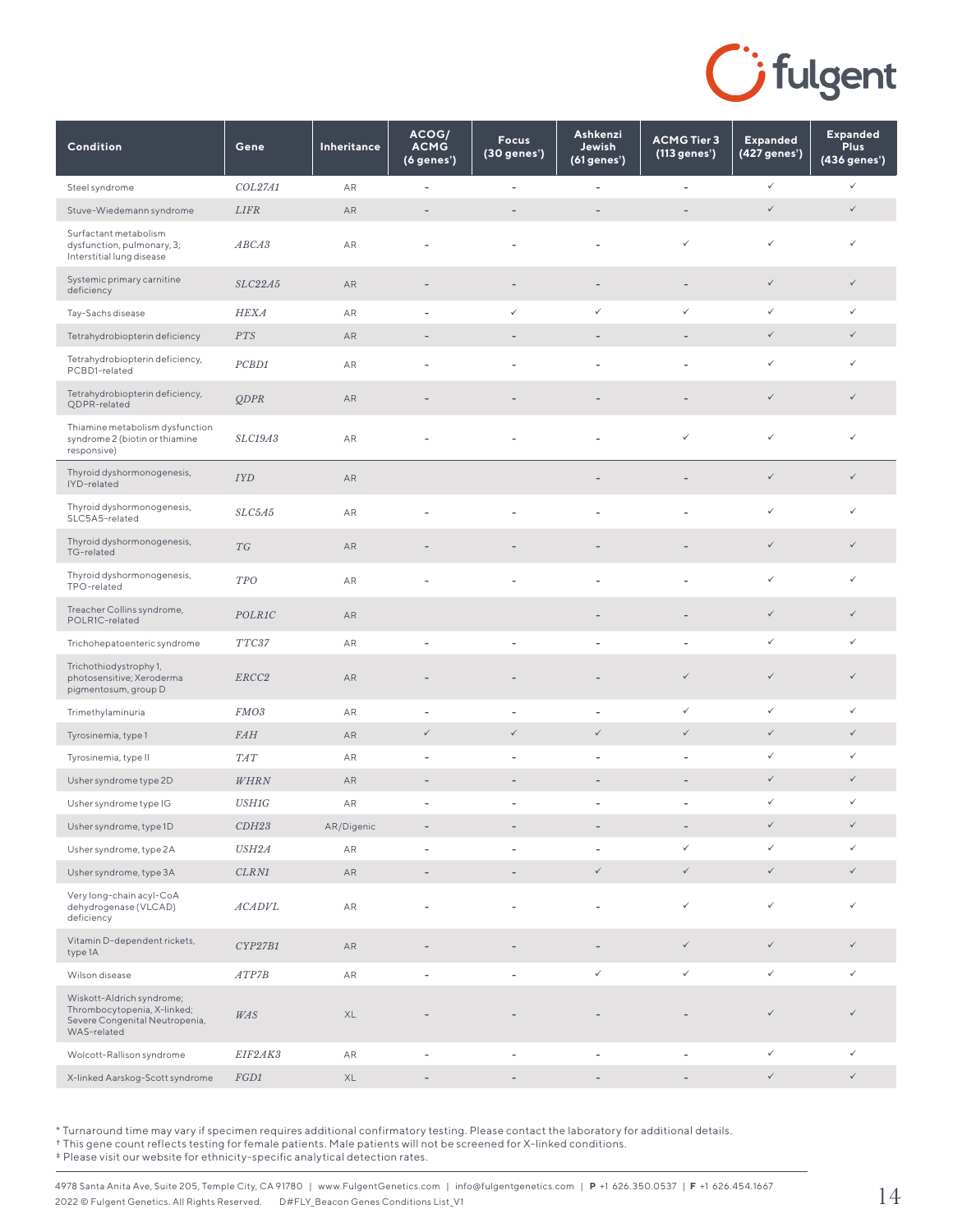

| Condition                                                                                                 | Gene              | Inheritance   | ACOG/<br><b>ACMG</b><br>(6 genes') | <b>Focus</b><br>(30 genes') | Ashkenzi<br>Jewish<br>(61 genes') | <b>ACMG Tier 3</b><br>(113 genes') | <b>Expanded</b><br>(427 genes') | <b>Expanded</b><br><b>Plus</b><br>(436 genes') |
|-----------------------------------------------------------------------------------------------------------|-------------------|---------------|------------------------------------|-----------------------------|-----------------------------------|------------------------------------|---------------------------------|------------------------------------------------|
| Steel syndrome                                                                                            | COL27A1           | AR            | ÷                                  | $\overline{\phantom{a}}$    | $\overline{\phantom{a}}$          | $\overline{\phantom{a}}$           | $\checkmark$                    | $\checkmark$                                   |
| Stuve-Wiedemann syndrome                                                                                  | LIFR              | AR            | $\overline{\phantom{m}}$           | $\overline{a}$              | -                                 |                                    | $\checkmark$                    | $\checkmark$                                   |
| Surfactant metabolism<br>dysfunction, pulmonary, 3;<br>Interstitial lung disease                          | ABCA3             | AR            | $\overline{\phantom{a}}$           | $\overline{\phantom{a}}$    | $\overline{a}$                    | ✓                                  | $\checkmark$                    | $\checkmark$                                   |
| Systemic primary carnitine<br>deficiency                                                                  | SLC22A5           | AR            | $\overline{\phantom{m}}$           | $\overline{\phantom{a}}$    | $\overline{\phantom{a}}$          | $\overline{\phantom{a}}$           | $\checkmark$                    | $\checkmark$                                   |
| Tay-Sachs disease                                                                                         | HEXA              | AR            | $\overline{a}$                     | $\checkmark$                | $\checkmark$                      | $\checkmark$                       | $\checkmark$                    | $\checkmark$                                   |
| Tetrahydrobiopterin deficiency                                                                            | PTS               | AR            |                                    |                             |                                   |                                    | $\checkmark$                    | $\checkmark$                                   |
| Tetrahydrobiopterin deficiency,<br>PCBD1-related                                                          | PCBD1             | AR            |                                    |                             |                                   |                                    | $\checkmark$                    | $\checkmark$                                   |
| Tetrahydrobiopterin deficiency,<br>QDPR-related                                                           | <b>QDPR</b>       | AR            |                                    |                             |                                   |                                    | $\checkmark$                    | $\checkmark$                                   |
| Thiamine metabolism dysfunction<br>syndrome 2 (biotin or thiamine<br>responsive)                          | SLC19A3           | AR            |                                    |                             |                                   | ✓                                  | $\checkmark$                    | $\checkmark$                                   |
| Thyroid dyshormonogenesis,<br>IYD-related                                                                 | <b>IYD</b>        | AR            |                                    |                             |                                   |                                    | $\checkmark$                    | $\checkmark$                                   |
| Thyroid dyshormonogenesis,<br>SLC5A5-related                                                              | SLC5A5            | AR            | $\overline{a}$                     | L,                          | $\overline{a}$                    |                                    | $\checkmark$                    | $\checkmark$                                   |
| Thyroid dyshormonogenesis,<br>TG-related                                                                  | TG                | AR            |                                    |                             |                                   |                                    | $\checkmark$                    | $\checkmark$                                   |
| Thyroid dyshormonogenesis,<br>TPO-related                                                                 | <b>TPO</b>        | AR            | ٠                                  | $\overline{\phantom{a}}$    | $\overline{\phantom{a}}$          |                                    | $\checkmark$                    | $\checkmark$                                   |
| Treacher Collins syndrome,<br>POLR1C-related                                                              | POLR1C            | AR            |                                    |                             |                                   |                                    | $\checkmark$                    | $\checkmark$                                   |
| Trichohepatoenteric syndrome                                                                              | TTC37             | AR            | ÷                                  | $\overline{\phantom{a}}$    | $\overline{\phantom{a}}$          | ٠                                  | $\checkmark$                    | $\checkmark$                                   |
| Trichothiodystrophy 1,<br>photosensitive; Xeroderma<br>pigmentosum, group D                               | ERCC <sub>2</sub> | AR            |                                    |                             |                                   | $\checkmark$                       | $\checkmark$                    | $\checkmark$                                   |
| Trimethylaminuria                                                                                         | FMO3              | AR            | $\overline{\phantom{a}}$           | $\overline{\phantom{a}}$    | $\overline{\phantom{a}}$          | ✓                                  | ✓                               | $\checkmark$                                   |
| Tyrosinemia, type 1                                                                                       | <b>FAH</b>        | AR            | $\checkmark$                       | $\checkmark$                | $\checkmark$                      | $\checkmark$                       | $\checkmark$                    | $\checkmark$                                   |
| Tyrosinemia, type II                                                                                      | <b>TAT</b>        | AR            | $\overline{\phantom{a}}$           | $\overline{\phantom{a}}$    | $\overline{\phantom{a}}$          | ٠                                  | $\checkmark$                    | $\checkmark$                                   |
| Usher syndrome type 2D                                                                                    | WHRN              | AR            | $\overline{\phantom{m}}$           | $\qquad \qquad -$           | $\qquad \qquad -$                 | $\overline{\phantom{a}}$           | $\checkmark$                    | $\checkmark$                                   |
| Usher syndrome type IG                                                                                    | <b>USH1G</b>      | AR            | ÷                                  | ×,                          | $\overline{a}$                    |                                    | $\checkmark$                    | $\checkmark$                                   |
| Usher syndrome, type 1D                                                                                   | CDH23             | AR/Digenic    |                                    |                             |                                   |                                    | $\checkmark$                    | $\checkmark$                                   |
| Usher syndrome, type 2A                                                                                   | USH2A             | AR            | $\overline{a}$                     | $\overline{\phantom{a}}$    | $\overline{\phantom{a}}$          | $\checkmark$                       | $\checkmark$                    | $\checkmark$                                   |
| Usher syndrome, type 3A                                                                                   | CLRN1             | ${\sf AR}$    | $\overline{\phantom{a}}$           | $\qquad \qquad -$           | $\checkmark$                      | $\checkmark$                       | $\checkmark$                    | $\checkmark$                                   |
| Very long-chain acyl-CoA<br>dehydrogenase (VLCAD)<br>deficiency                                           | <b>ACADVL</b>     | AR            | L,                                 | L,                          |                                   | $\checkmark$                       | $\checkmark$                    | $\checkmark$                                   |
| Vitamin D-dependent rickets,<br>type 1A                                                                   | CYP27B1           | AR            | $\overline{\phantom{a}}$           | $\qquad \qquad -$           | $\overline{\phantom{a}}$          | $\checkmark$                       | $\checkmark$                    | $\checkmark$                                   |
| Wilson disease                                                                                            | ATP7B             | ${\sf AR}$    | $\sim$                             | $\sim$                      | $\checkmark$                      | $\checkmark$                       | $\checkmark$                    | $\checkmark$                                   |
| Wiskott-Aldrich syndrome;<br>Thrombocytopenia, X-linked;<br>Severe Congenital Neutropenia,<br>WAS-related | WAS               | $\mathsf{XL}$ |                                    |                             |                                   |                                    | $\checkmark$                    | $\checkmark$                                   |
| Wolcott-Rallison syndrome                                                                                 | EIF2AK3           | ${\sf AR}$    | $\overline{\phantom{a}}$           | $\overline{\phantom{a}}$    | $\overline{\phantom{a}}$          | $\overline{\phantom{a}}$           | $\checkmark$                    | $\checkmark$                                   |
| X-linked Aarskog-Scott syndrome                                                                           | FGD1              | XL            | $\overline{\phantom{a}}$           | $\overline{\phantom{a}}$    | $\overline{\phantom{a}}$          | $\overline{\phantom{a}}$           | $\checkmark$                    | $\checkmark$                                   |

† This gene count reflects testing for female patients. Male patients will not be screened for X-linked conditions.